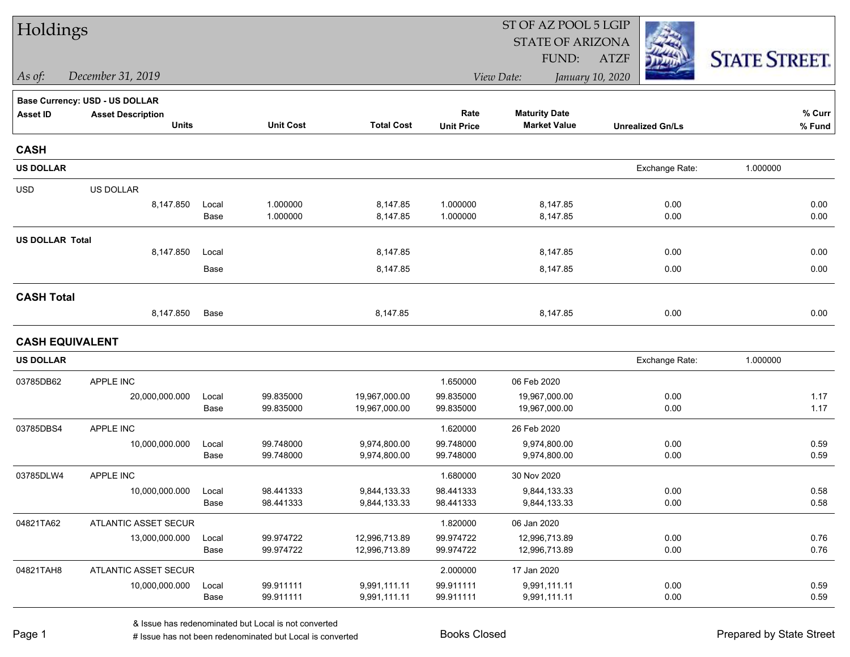| Holdings               |                                          |               |                        |                              | ST OF AZ POOL 5 LGIP      |                                             |                         |                      |  |
|------------------------|------------------------------------------|---------------|------------------------|------------------------------|---------------------------|---------------------------------------------|-------------------------|----------------------|--|
|                        |                                          |               |                        |                              |                           | <b>STATE OF ARIZONA</b>                     |                         |                      |  |
|                        |                                          |               |                        |                              |                           | FUND:                                       | <b>ATZF</b>             | <b>STATE STREET.</b> |  |
| As of:                 | December 31, 2019                        |               |                        |                              |                           | View Date:                                  | January 10, 2020        |                      |  |
|                        | Base Currency: USD - US DOLLAR           |               |                        |                              |                           |                                             |                         |                      |  |
| <b>Asset ID</b>        | <b>Asset Description</b><br><b>Units</b> |               | <b>Unit Cost</b>       | <b>Total Cost</b>            | Rate<br><b>Unit Price</b> | <b>Maturity Date</b><br><b>Market Value</b> | <b>Unrealized Gn/Ls</b> | % Curr<br>% Fund     |  |
| <b>CASH</b>            |                                          |               |                        |                              |                           |                                             |                         |                      |  |
| <b>US DOLLAR</b>       |                                          |               |                        |                              |                           |                                             | Exchange Rate:          | 1.000000             |  |
| <b>USD</b>             | US DOLLAR                                |               |                        |                              |                           |                                             |                         |                      |  |
|                        | 8,147.850                                | Local<br>Base | 1.000000<br>1.000000   | 8,147.85<br>8,147.85         | 1.000000<br>1.000000      | 8,147.85<br>8,147.85                        | 0.00<br>0.00            | 0.00<br>0.00         |  |
| <b>US DOLLAR Total</b> |                                          |               |                        |                              |                           |                                             |                         |                      |  |
|                        | 8,147.850                                | Local         |                        | 8,147.85                     |                           | 8,147.85                                    | 0.00                    | 0.00                 |  |
|                        |                                          | Base          |                        | 8,147.85                     |                           | 8,147.85                                    | 0.00                    | 0.00                 |  |
| <b>CASH Total</b>      |                                          |               |                        |                              |                           |                                             |                         |                      |  |
|                        | 8,147.850                                | Base          |                        | 8,147.85                     |                           | 8,147.85                                    | 0.00                    | 0.00                 |  |
|                        | <b>CASH EQUIVALENT</b>                   |               |                        |                              |                           |                                             |                         |                      |  |
| <b>US DOLLAR</b>       |                                          |               |                        |                              |                           |                                             | Exchange Rate:          | 1.000000             |  |
| 03785DB62              | APPLE INC                                |               |                        |                              | 1.650000                  | 06 Feb 2020                                 |                         |                      |  |
|                        | 20,000,000.000                           | Local         | 99.835000              | 19,967,000.00                | 99.835000                 | 19,967,000.00                               | 0.00                    | 1.17                 |  |
|                        |                                          | Base          | 99.835000              | 19,967,000.00                | 99.835000                 | 19,967,000.00                               | 0.00                    | 1.17                 |  |
| 03785DBS4              | APPLE INC                                |               |                        |                              | 1.620000                  | 26 Feb 2020                                 |                         |                      |  |
|                        | 10,000,000.000                           | Local<br>Base | 99.748000<br>99.748000 | 9,974,800.00<br>9,974,800.00 | 99.748000<br>99.748000    | 9,974,800.00<br>9,974,800.00                | 0.00<br>0.00            | 0.59<br>0.59         |  |
| 03785DLW4              | APPLE INC                                |               |                        |                              | 1.680000                  | 30 Nov 2020                                 |                         |                      |  |
|                        | 10,000,000.000                           | Local         | 98.441333              | 9,844,133.33                 | 98.441333                 | 9,844,133.33                                | 0.00                    | 0.58                 |  |
|                        |                                          | Base          | 98.441333              | 9,844,133.33                 | 98.441333                 | 9,844,133.33                                | 0.00                    | 0.58                 |  |
| 04821TA62              | ATLANTIC ASSET SECUR                     |               |                        |                              | 1.820000                  | 06 Jan 2020                                 |                         |                      |  |
|                        | 13,000,000.000                           | Local         | 99.974722              | 12,996,713.89                | 99.974722                 | 12,996,713.89                               | 0.00                    | 0.76                 |  |
|                        |                                          | Base          | 99.974722              | 12,996,713.89                | 99.974722                 | 12,996,713.89                               | 0.00                    | 0.76                 |  |
| 04821TAH8              | ATLANTIC ASSET SECUR                     |               |                        |                              | 2.000000                  | 17 Jan 2020                                 |                         |                      |  |
|                        | 10,000,000.000                           | Local         | 99.911111              | 9,991,111.11                 | 99.911111                 | 9,991,111.11                                | 0.00                    | 0.59                 |  |
|                        |                                          | Base          | 99.911111              | 9,991,111.11                 | 99.911111                 | 9,991,111.11                                | 0.00                    | 0.59                 |  |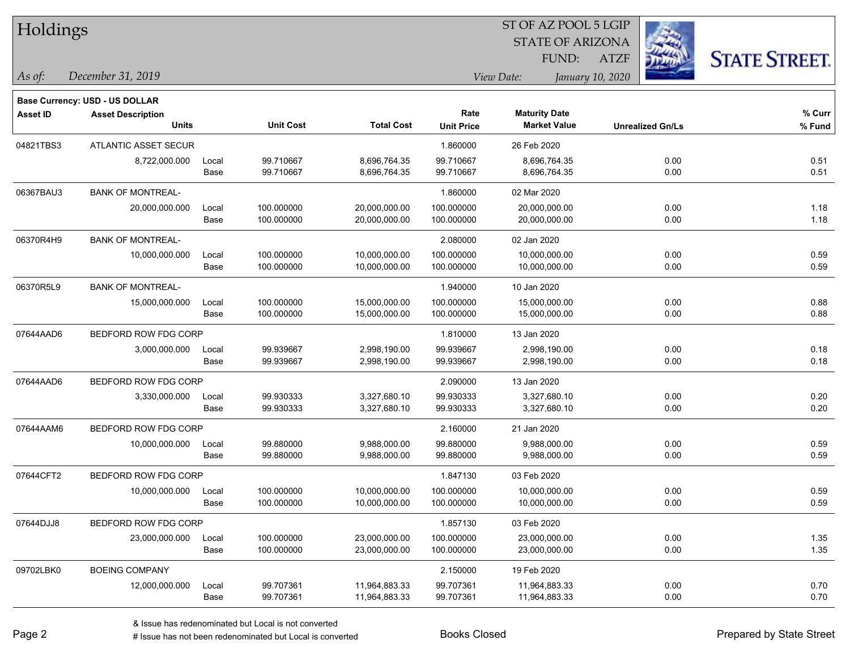| Holdings        |                                       |       |                  |                   |                   | 51 OF AZ POOL 5 LGIP    |                  |                         |                      |
|-----------------|---------------------------------------|-------|------------------|-------------------|-------------------|-------------------------|------------------|-------------------------|----------------------|
|                 |                                       |       |                  |                   |                   | <b>STATE OF ARIZONA</b> |                  | Ź.                      |                      |
|                 |                                       |       |                  |                   |                   | FUND:                   | <b>ATZF</b>      |                         | <b>STATE STREET.</b> |
| As of:          | December 31, 2019                     |       |                  |                   |                   | View Date:              | January 10, 2020 |                         |                      |
|                 | <b>Base Currency: USD - US DOLLAR</b> |       |                  |                   |                   |                         |                  |                         |                      |
| <b>Asset ID</b> | <b>Asset Description</b>              |       |                  |                   | Rate              | <b>Maturity Date</b>    |                  |                         | % Curr               |
|                 | <b>Units</b>                          |       | <b>Unit Cost</b> | <b>Total Cost</b> | <b>Unit Price</b> | <b>Market Value</b>     |                  | <b>Unrealized Gn/Ls</b> | % Fund               |
| 04821TBS3       | ATLANTIC ASSET SECUR                  |       |                  |                   | 1.860000          | 26 Feb 2020             |                  |                         |                      |
|                 | 8,722,000.000                         | Local | 99.710667        | 8,696,764.35      | 99.710667         | 8,696,764.35            |                  | 0.00                    | 0.51                 |
|                 |                                       | Base  | 99.710667        | 8,696,764.35      | 99.710667         | 8,696,764.35            |                  | 0.00                    | 0.51                 |
| 06367BAU3       | <b>BANK OF MONTREAL-</b>              |       |                  |                   | 1.860000          | 02 Mar 2020             |                  |                         |                      |
|                 | 20,000,000.000                        | Local | 100.000000       | 20,000,000.00     | 100.000000        | 20,000,000.00           |                  | 0.00                    | 1.18                 |
|                 |                                       | Base  | 100.000000       | 20,000,000.00     | 100.000000        | 20,000,000.00           |                  | 0.00                    | 1.18                 |
| 06370R4H9       | <b>BANK OF MONTREAL-</b>              |       |                  |                   | 2.080000          | 02 Jan 2020             |                  |                         |                      |
|                 | 10,000,000.000                        | Local | 100.000000       | 10,000,000.00     | 100.000000        | 10,000,000.00           |                  | 0.00                    | 0.59                 |
|                 |                                       | Base  | 100.000000       | 10,000,000.00     | 100.000000        | 10,000,000.00           |                  | 0.00                    | 0.59                 |
| 06370R5L9       | <b>BANK OF MONTREAL-</b>              |       |                  |                   | 1.940000          | 10 Jan 2020             |                  |                         |                      |
|                 | 15,000,000.000                        | Local | 100.000000       | 15,000,000.00     | 100.000000        | 15,000,000.00           |                  | 0.00                    | 0.88                 |
|                 |                                       | Base  | 100.000000       | 15,000,000.00     | 100.000000        | 15,000,000.00           |                  | 0.00                    | 0.88                 |
| 07644AAD6       | BEDFORD ROW FDG CORP                  |       |                  |                   | 1.810000          | 13 Jan 2020             |                  |                         |                      |
|                 | 3,000,000.000                         | Local | 99.939667        | 2,998,190.00      | 99.939667         | 2,998,190.00            |                  | 0.00                    | 0.18                 |
|                 |                                       | Base  | 99.939667        | 2,998,190.00      | 99.939667         | 2,998,190.00            |                  | 0.00                    | 0.18                 |
| 07644AAD6       | BEDFORD ROW FDG CORP                  |       |                  |                   | 2.090000          | 13 Jan 2020             |                  |                         |                      |
|                 | 3,330,000.000                         | Local | 99.930333        | 3,327,680.10      | 99.930333         | 3,327,680.10            |                  | 0.00                    | 0.20                 |
|                 |                                       | Base  | 99.930333        | 3,327,680.10      | 99.930333         | 3,327,680.10            |                  | 0.00                    | 0.20                 |
| 07644AAM6       | BEDFORD ROW FDG CORP                  |       |                  |                   | 2.160000          | 21 Jan 2020             |                  |                         |                      |
|                 | 10,000,000.000                        | Local | 99.880000        | 9,988,000.00      | 99.880000         | 9,988,000.00            |                  | 0.00                    | 0.59                 |
|                 |                                       | Base  | 99.880000        | 9,988,000.00      | 99.880000         | 9,988,000.00            |                  | 0.00                    | 0.59                 |
| 07644CFT2       | BEDFORD ROW FDG CORP                  |       |                  |                   | 1.847130          | 03 Feb 2020             |                  |                         |                      |
|                 | 10,000,000.000                        | Local | 100.000000       | 10,000,000.00     | 100.000000        | 10,000,000.00           |                  | 0.00                    | 0.59                 |
|                 |                                       | Base  | 100.000000       | 10,000,000.00     | 100.000000        | 10,000,000.00           |                  | 0.00                    | 0.59                 |
| 07644DJJ8       | BEDFORD ROW FDG CORP                  |       |                  |                   | 1.857130          | 03 Feb 2020             |                  |                         |                      |
|                 | 23,000,000.000                        | Local | 100.000000       | 23,000,000.00     | 100.000000        | 23,000,000.00           |                  | 0.00                    | 1.35                 |
|                 |                                       | Base  | 100.000000       | 23,000,000.00     | 100.000000        | 23,000,000.00           |                  | 0.00                    | 1.35                 |
| 09702LBK0       | <b>BOEING COMPANY</b>                 |       |                  |                   | 2.150000          | 19 Feb 2020             |                  |                         |                      |
|                 | 12,000,000.000                        | Local | 99.707361        | 11,964,883.33     | 99.707361         | 11,964,883.33           |                  | 0.00                    | 0.70                 |
|                 |                                       | Base  | 99.707361        | 11,964,883.33     | 99.707361         | 11,964,883.33           |                  | 0.00                    | 0.70                 |

 $ST$  OF AZ POOL 5 LGIP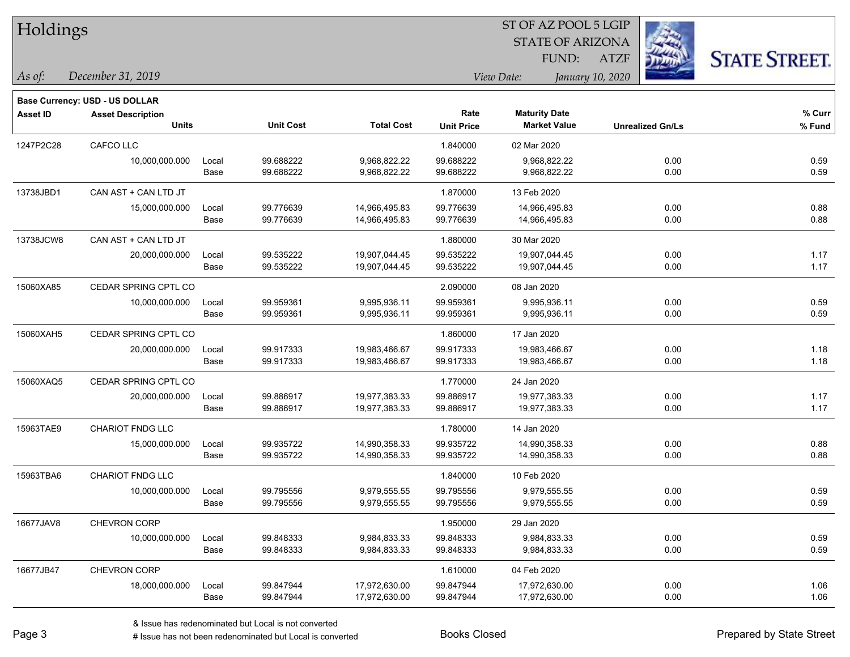| Holdings        |                                       |       |                  |                   | 51 OF AZ POOL 5 LGIP |                                |                         |                      |  |  |
|-----------------|---------------------------------------|-------|------------------|-------------------|----------------------|--------------------------------|-------------------------|----------------------|--|--|
|                 |                                       |       |                  |                   |                      | <b>STATE OF ARIZONA</b>        | <b>REGIST</b>           |                      |  |  |
|                 |                                       |       |                  |                   |                      | FUND:                          | <b>ATZF</b>             | <b>STATE STREET.</b> |  |  |
| As of:          | December 31, 2019                     |       |                  |                   |                      | View Date:<br>January 10, 2020 |                         |                      |  |  |
|                 | <b>Base Currency: USD - US DOLLAR</b> |       |                  |                   |                      |                                |                         |                      |  |  |
| <b>Asset ID</b> | <b>Asset Description</b>              |       |                  |                   | Rate                 | <b>Maturity Date</b>           |                         | $%$ Curr             |  |  |
|                 | <b>Units</b>                          |       | <b>Unit Cost</b> | <b>Total Cost</b> | <b>Unit Price</b>    | <b>Market Value</b>            | <b>Unrealized Gn/Ls</b> | % Fund               |  |  |
| 1247P2C28       | CAFCO LLC                             |       |                  |                   | 1.840000             | 02 Mar 2020                    |                         |                      |  |  |
|                 | 10,000,000.000                        | Local | 99.688222        | 9,968,822.22      | 99.688222            | 9,968,822.22                   | 0.00                    | 0.59                 |  |  |
|                 |                                       | Base  | 99.688222        | 9,968,822.22      | 99.688222            | 9,968,822.22                   | 0.00                    | 0.59                 |  |  |
| 13738JBD1       | CAN AST + CAN LTD JT                  |       |                  |                   | 1.870000             | 13 Feb 2020                    |                         |                      |  |  |
|                 | 15,000,000.000                        | Local | 99.776639        | 14,966,495.83     | 99.776639            | 14,966,495.83                  | 0.00                    | 0.88                 |  |  |
|                 |                                       | Base  | 99.776639        | 14,966,495.83     | 99.776639            | 14,966,495.83                  | 0.00                    | 0.88                 |  |  |
| 13738JCW8       | CAN AST + CAN LTD JT                  |       |                  |                   | 1.880000             | 30 Mar 2020                    |                         |                      |  |  |
|                 | 20,000,000.000                        | Local | 99.535222        | 19,907,044.45     | 99.535222            | 19,907,044.45                  | 0.00                    | 1.17                 |  |  |
|                 |                                       | Base  | 99.535222        | 19,907,044.45     | 99.535222            | 19,907,044.45                  | 0.00                    | 1.17                 |  |  |
| 15060XA85       | CEDAR SPRING CPTL CO                  |       |                  |                   | 2.090000             | 08 Jan 2020                    |                         |                      |  |  |
|                 | 10,000,000.000                        | Local | 99.959361        | 9,995,936.11      | 99.959361            | 9,995,936.11                   | 0.00                    | 0.59                 |  |  |
|                 |                                       | Base  | 99.959361        | 9,995,936.11      | 99.959361            | 9,995,936.11                   | 0.00                    | 0.59                 |  |  |
| 15060XAH5       | CEDAR SPRING CPTL CO                  |       |                  |                   | 1.860000             | 17 Jan 2020                    |                         |                      |  |  |
|                 | 20,000,000.000                        | Local | 99.917333        | 19,983,466.67     | 99.917333            | 19,983,466.67                  | 0.00                    | 1.18                 |  |  |
|                 |                                       | Base  | 99.917333        | 19,983,466.67     | 99.917333            | 19,983,466.67                  | 0.00                    | 1.18                 |  |  |
| 15060XAQ5       | CEDAR SPRING CPTL CO                  |       |                  |                   | 1.770000             | 24 Jan 2020                    |                         |                      |  |  |
|                 | 20,000,000.000                        | Local | 99.886917        | 19,977,383.33     | 99.886917            | 19,977,383.33                  | 0.00                    | 1.17                 |  |  |
|                 |                                       | Base  | 99.886917        | 19,977,383.33     | 99.886917            | 19,977,383.33                  | 0.00                    | 1.17                 |  |  |
| 15963TAE9       | CHARIOT FNDG LLC                      |       |                  |                   | 1.780000             | 14 Jan 2020                    |                         |                      |  |  |
|                 | 15,000,000.000                        | Local | 99.935722        | 14,990,358.33     | 99.935722            | 14,990,358.33                  | 0.00                    | 0.88                 |  |  |
|                 |                                       | Base  | 99.935722        | 14,990,358.33     | 99.935722            | 14,990,358.33                  | 0.00                    | 0.88                 |  |  |
| 15963TBA6       | <b>CHARIOT FNDG LLC</b>               |       |                  |                   | 1.840000             | 10 Feb 2020                    |                         |                      |  |  |
|                 | 10,000,000.000                        | Local | 99.795556        | 9,979,555.55      | 99.795556            | 9,979,555.55                   | 0.00                    | 0.59                 |  |  |
|                 |                                       | Base  | 99.795556        | 9,979,555.55      | 99.795556            | 9,979,555.55                   | 0.00                    | 0.59                 |  |  |
| 16677JAV8       | <b>CHEVRON CORP</b>                   |       |                  |                   | 1.950000             | 29 Jan 2020                    |                         |                      |  |  |
|                 | 10,000,000.000                        | Local | 99.848333        | 9,984,833.33      | 99.848333            | 9,984,833.33                   | 0.00                    | 0.59                 |  |  |
|                 |                                       | Base  | 99.848333        | 9,984,833.33      | 99.848333            | 9,984,833.33                   | 0.00                    | 0.59                 |  |  |
| 16677JB47       | CHEVRON CORP                          |       |                  |                   | 1.610000             | 04 Feb 2020                    |                         |                      |  |  |
|                 | 18,000,000.000                        | Local | 99.847944        | 17,972,630.00     | 99.847944            | 17,972,630.00                  | 0.00                    | 1.06                 |  |  |
|                 |                                       | Base  | 99.847944        | 17,972,630.00     | 99.847944            | 17,972,630.00                  | 0.00                    | 1.06                 |  |  |

 $\overline{\text{SE ADO}}$   $\overline{\text{SVD}}$ 

٦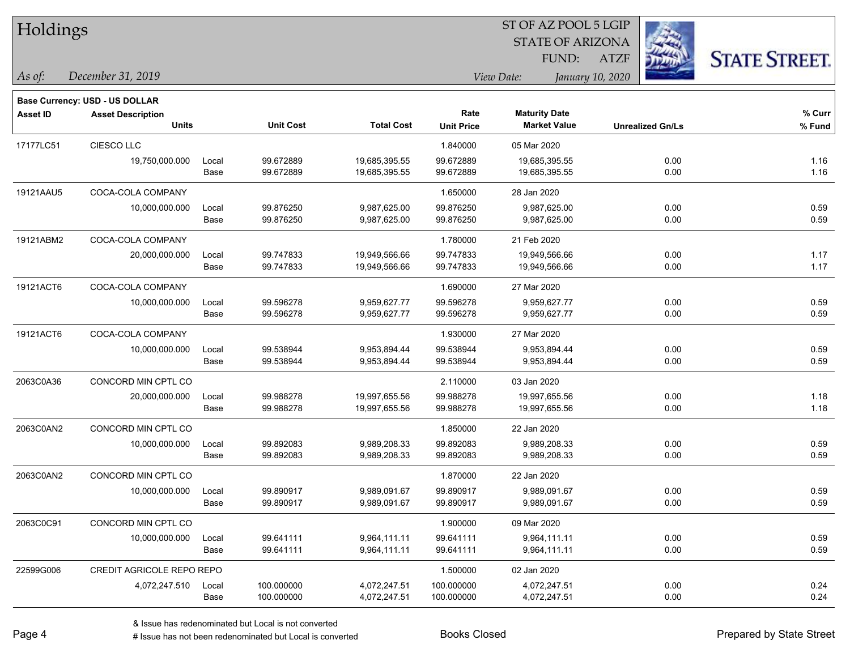| Holdings        |                                       |       |                  |                   |                   | ST OF AZ POOL 5 LGIP    |                         |                      |
|-----------------|---------------------------------------|-------|------------------|-------------------|-------------------|-------------------------|-------------------------|----------------------|
|                 |                                       |       |                  |                   |                   | <b>STATE OF ARIZONA</b> |                         |                      |
|                 |                                       |       |                  |                   |                   | FUND:                   | <b>ATZF</b>             | <b>STATE STREET.</b> |
| As of:          | December 31, 2019                     |       |                  |                   |                   | View Date:              | January 10, 2020        |                      |
|                 | <b>Base Currency: USD - US DOLLAR</b> |       |                  |                   |                   |                         |                         |                      |
| <b>Asset ID</b> | <b>Asset Description</b>              |       |                  |                   | Rate              | <b>Maturity Date</b>    |                         | % Curr               |
|                 | <b>Units</b>                          |       | <b>Unit Cost</b> | <b>Total Cost</b> | <b>Unit Price</b> | <b>Market Value</b>     | <b>Unrealized Gn/Ls</b> | % Fund               |
| 17177LC51       | CIESCO LLC                            |       |                  |                   | 1.840000          | 05 Mar 2020             |                         |                      |
|                 | 19,750,000.000                        | Local | 99.672889        | 19,685,395.55     | 99.672889         | 19,685,395.55           | 0.00                    | 1.16                 |
|                 |                                       | Base  | 99.672889        | 19,685,395.55     | 99.672889         | 19,685,395.55           | 0.00                    | 1.16                 |
| 19121AAU5       | COCA-COLA COMPANY                     |       |                  |                   | 1.650000          | 28 Jan 2020             |                         |                      |
|                 | 10,000,000.000                        | Local | 99.876250        | 9,987,625.00      | 99.876250         | 9,987,625.00            | 0.00                    | 0.59                 |
|                 |                                       | Base  | 99.876250        | 9,987,625.00      | 99.876250         | 9,987,625.00            | 0.00                    | 0.59                 |
| 19121ABM2       | COCA-COLA COMPANY                     |       |                  |                   | 1.780000          | 21 Feb 2020             |                         |                      |
|                 | 20,000,000.000                        | Local | 99.747833        | 19,949,566.66     | 99.747833         | 19,949,566.66           | 0.00                    | 1.17                 |
|                 |                                       | Base  | 99.747833        | 19,949,566.66     | 99.747833         | 19,949,566.66           | 0.00                    | 1.17                 |
| 19121ACT6       | COCA-COLA COMPANY                     |       |                  |                   | 1.690000          | 27 Mar 2020             |                         |                      |
|                 | 10,000,000.000                        | Local | 99.596278        | 9,959,627.77      | 99.596278         | 9,959,627.77            | 0.00                    | 0.59                 |
|                 |                                       | Base  | 99.596278        | 9,959,627.77      | 99.596278         | 9,959,627.77            | 0.00                    | 0.59                 |
| 19121ACT6       | COCA-COLA COMPANY                     |       |                  |                   | 1.930000          | 27 Mar 2020             |                         |                      |
|                 | 10,000,000.000                        | Local | 99.538944        | 9,953,894.44      | 99.538944         | 9,953,894.44            | 0.00                    | 0.59                 |
|                 |                                       | Base  | 99.538944        | 9,953,894.44      | 99.538944         | 9,953,894.44            | 0.00                    | 0.59                 |
| 2063C0A36       | CONCORD MIN CPTL CO                   |       |                  |                   | 2.110000          | 03 Jan 2020             |                         |                      |
|                 | 20,000,000.000                        | Local | 99.988278        | 19,997,655.56     | 99.988278         | 19,997,655.56           | 0.00                    | 1.18                 |
|                 |                                       | Base  | 99.988278        | 19,997,655.56     | 99.988278         | 19,997,655.56           | 0.00                    | 1.18                 |
| 2063C0AN2       | CONCORD MIN CPTL CO                   |       |                  |                   | 1.850000          | 22 Jan 2020             |                         |                      |
|                 | 10,000,000.000                        | Local | 99.892083        | 9,989,208.33      | 99.892083         | 9,989,208.33            | 0.00                    | 0.59                 |
|                 |                                       | Base  | 99.892083        | 9,989,208.33      | 99.892083         | 9,989,208.33            | 0.00                    | 0.59                 |
| 2063C0AN2       | CONCORD MIN CPTL CO                   |       |                  |                   | 1.870000          | 22 Jan 2020             |                         |                      |
|                 | 10,000,000.000                        | Local | 99.890917        | 9,989,091.67      | 99.890917         | 9,989,091.67            | 0.00                    | 0.59                 |
|                 |                                       | Base  | 99.890917        | 9,989,091.67      | 99.890917         | 9,989,091.67            | 0.00                    | 0.59                 |
| 2063C0C91       | CONCORD MIN CPTL CO                   |       |                  |                   | 1.900000          | 09 Mar 2020             |                         |                      |
|                 | 10,000,000.000                        | Local | 99.641111        | 9,964,111.11      | 99.641111         | 9,964,111.11            | 0.00                    | 0.59                 |
|                 |                                       | Base  | 99.641111        | 9,964,111.11      | 99.641111         | 9,964,111.11            | 0.00                    | 0.59                 |
| 22599G006       | CREDIT AGRICOLE REPO REPO             |       |                  |                   | 1.500000          | 02 Jan 2020             |                         |                      |
|                 | 4,072,247.510                         | Local | 100.000000       | 4,072,247.51      | 100.000000        | 4,072,247.51            | 0.00                    | 0.24                 |
|                 |                                       | Base  | 100.000000       | 4,072,247.51      | 100.000000        | 4,072,247.51            | 0.00                    | 0.24                 |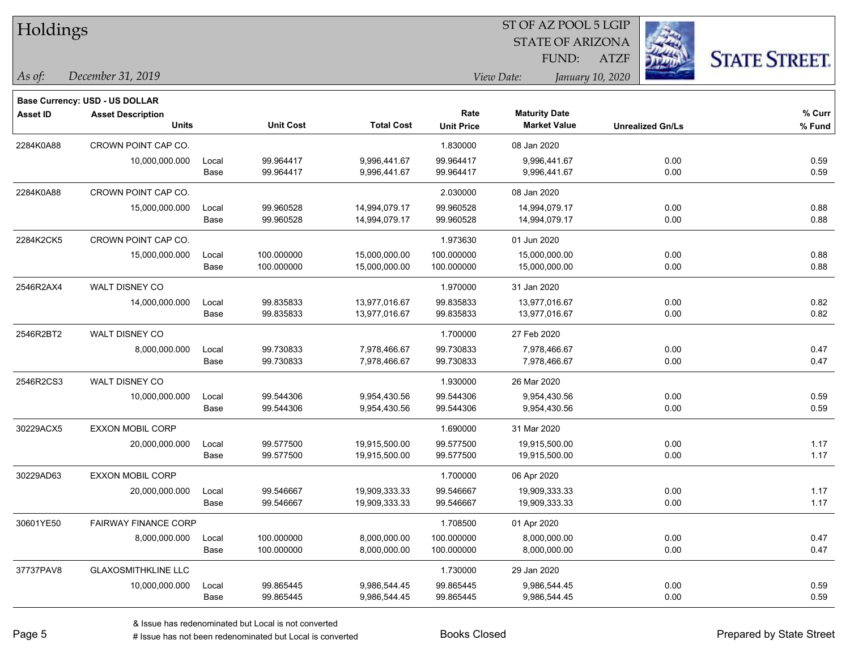| Holdings        |                                |       |                  |                   | ST OF AZ POOL 5 LGIP |                      |                         |                         |                      |  |
|-----------------|--------------------------------|-------|------------------|-------------------|----------------------|----------------------|-------------------------|-------------------------|----------------------|--|
|                 |                                |       |                  |                   |                      |                      | <b>STATE OF ARIZONA</b> |                         |                      |  |
|                 |                                |       |                  |                   |                      | FUND:                | <b>ATZF</b>             |                         | <b>STATE STREET.</b> |  |
| As of:          | December 31, 2019              |       |                  |                   |                      | View Date:           | January 10, 2020        |                         |                      |  |
|                 | Base Currency: USD - US DOLLAR |       |                  |                   |                      |                      |                         |                         |                      |  |
| <b>Asset ID</b> | <b>Asset Description</b>       |       |                  |                   | Rate                 | <b>Maturity Date</b> |                         |                         | % Curr               |  |
|                 | <b>Units</b>                   |       | <b>Unit Cost</b> | <b>Total Cost</b> | <b>Unit Price</b>    | <b>Market Value</b>  |                         | <b>Unrealized Gn/Ls</b> | % Fund               |  |
| 2284K0A88       | CROWN POINT CAP CO.            |       |                  |                   | 1.830000             | 08 Jan 2020          |                         |                         |                      |  |
|                 | 10,000,000.000                 | Local | 99.964417        | 9,996,441.67      | 99.964417            | 9,996,441.67         |                         | 0.00                    | 0.59                 |  |
|                 |                                | Base  | 99.964417        | 9,996,441.67      | 99.964417            | 9,996,441.67         |                         | 0.00                    | 0.59                 |  |
| 2284K0A88       | CROWN POINT CAP CO.            |       |                  |                   | 2.030000             | 08 Jan 2020          |                         |                         |                      |  |
|                 | 15,000,000.000                 | Local | 99.960528        | 14,994,079.17     | 99.960528            | 14,994,079.17        |                         | 0.00                    | 0.88                 |  |
|                 |                                | Base  | 99.960528        | 14,994,079.17     | 99.960528            | 14,994,079.17        |                         | 0.00                    | 0.88                 |  |
| 2284K2CK5       | CROWN POINT CAP CO.            |       |                  |                   | 1.973630             | 01 Jun 2020          |                         |                         |                      |  |
|                 | 15,000,000.000                 | Local | 100.000000       | 15,000,000.00     | 100.000000           | 15,000,000.00        |                         | 0.00                    | 0.88                 |  |
|                 |                                | Base  | 100.000000       | 15,000,000.00     | 100.000000           | 15,000,000.00        |                         | 0.00                    | 0.88                 |  |
| 2546R2AX4       | WALT DISNEY CO                 |       |                  |                   | 1.970000             | 31 Jan 2020          |                         |                         |                      |  |
|                 | 14,000,000.000                 | Local | 99.835833        | 13,977,016.67     | 99.835833            | 13,977,016.67        |                         | 0.00                    | 0.82                 |  |
|                 |                                | Base  | 99.835833        | 13,977,016.67     | 99.835833            | 13,977,016.67        |                         | 0.00                    | 0.82                 |  |
| 2546R2BT2       | WALT DISNEY CO                 |       |                  |                   | 1.700000             | 27 Feb 2020          |                         |                         |                      |  |
|                 | 8,000,000.000                  | Local | 99.730833        | 7,978,466.67      | 99.730833            | 7,978,466.67         |                         | 0.00                    | 0.47                 |  |
|                 |                                | Base  | 99.730833        | 7,978,466.67      | 99.730833            | 7,978,466.67         |                         | 0.00                    | 0.47                 |  |
| 2546R2CS3       | WALT DISNEY CO                 |       |                  |                   | 1.930000             | 26 Mar 2020          |                         |                         |                      |  |
|                 | 10,000,000.000                 | Local | 99.544306        | 9,954,430.56      | 99.544306            | 9,954,430.56         |                         | 0.00                    | 0.59                 |  |
|                 |                                | Base  | 99.544306        | 9,954,430.56      | 99.544306            | 9,954,430.56         |                         | 0.00                    | 0.59                 |  |
| 30229ACX5       | <b>EXXON MOBIL CORP</b>        |       |                  |                   | 1.690000             | 31 Mar 2020          |                         |                         |                      |  |
|                 | 20,000,000.000                 | Local | 99.577500        | 19,915,500.00     | 99.577500            | 19,915,500.00        |                         | 0.00                    | 1.17                 |  |
|                 |                                | Base  | 99.577500        | 19,915,500.00     | 99.577500            | 19,915,500.00        |                         | 0.00                    | 1.17                 |  |
| 30229AD63       | EXXON MOBIL CORP               |       |                  |                   | 1.700000             | 06 Apr 2020          |                         |                         |                      |  |
|                 | 20,000,000.000                 | Local | 99.546667        | 19,909,333.33     | 99.546667            | 19,909,333.33        |                         | 0.00                    | 1.17                 |  |
|                 |                                | Base  | 99.546667        | 19,909,333.33     | 99.546667            | 19,909,333.33        |                         | 0.00                    | 1.17                 |  |
| 30601YE50       | <b>FAIRWAY FINANCE CORP</b>    |       |                  |                   | 1.708500             | 01 Apr 2020          |                         |                         |                      |  |
|                 | 8,000,000.000                  | Local | 100.000000       | 8,000,000.00      | 100.000000           | 8,000,000.00         |                         | 0.00                    | 0.47                 |  |
|                 |                                | Base  | 100.000000       | 8,000,000.00      | 100.000000           | 8,000,000.00         |                         | 0.00                    | 0.47                 |  |
| 37737PAV8       | <b>GLAXOSMITHKLINE LLC</b>     |       |                  |                   | 1.730000             | 29 Jan 2020          |                         |                         |                      |  |
|                 | 10,000,000.000                 | Local | 99.865445        | 9,986,544.45      | 99.865445            | 9,986,544.45         |                         | 0.00                    | 0.59                 |  |
|                 |                                | Base  | 99.865445        | 9,986,544.45      | 99.865445            | 9,986,544.45         |                         | 0.00                    | 0.59                 |  |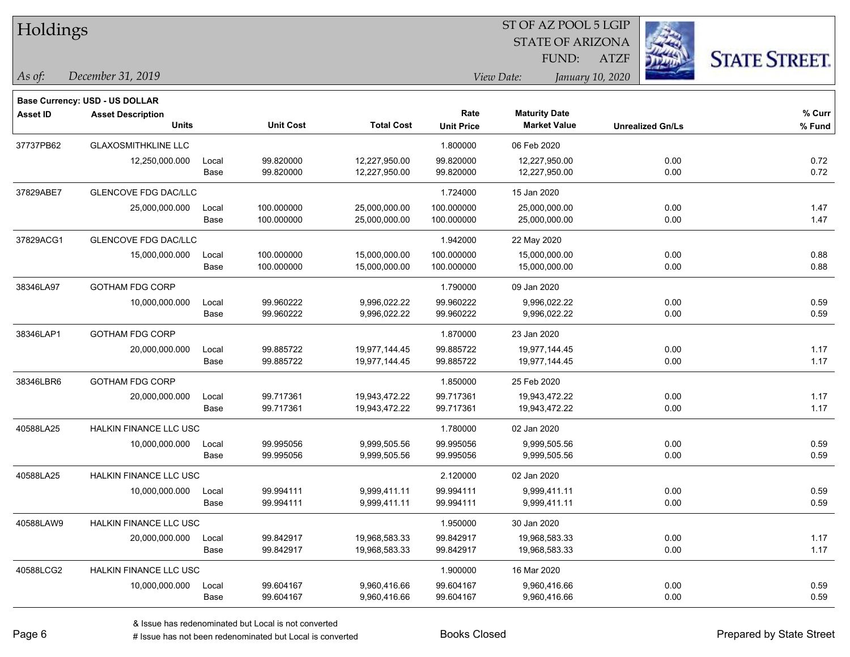| Holdings        |                                       |       |                  |                   |                   | ST OF AZ POOL 5 LGIP |                         |                         |                      |
|-----------------|---------------------------------------|-------|------------------|-------------------|-------------------|----------------------|-------------------------|-------------------------|----------------------|
|                 |                                       |       |                  |                   |                   |                      | <b>STATE OF ARIZONA</b> |                         |                      |
|                 |                                       |       |                  |                   |                   | FUND:                | <b>ATZF</b>             |                         | <b>STATE STREET.</b> |
| As of:          | December 31, 2019                     |       |                  |                   |                   | View Date:           | January 10, 2020        |                         |                      |
|                 | <b>Base Currency: USD - US DOLLAR</b> |       |                  |                   |                   |                      |                         |                         |                      |
| <b>Asset ID</b> | <b>Asset Description</b>              |       |                  |                   | Rate              | <b>Maturity Date</b> |                         |                         | % Curr               |
|                 | <b>Units</b>                          |       | <b>Unit Cost</b> | <b>Total Cost</b> | <b>Unit Price</b> | <b>Market Value</b>  |                         | <b>Unrealized Gn/Ls</b> | % Fund               |
| 37737PB62       | <b>GLAXOSMITHKLINE LLC</b>            |       |                  |                   | 1.800000          | 06 Feb 2020          |                         |                         |                      |
|                 | 12,250,000.000                        | Local | 99.820000        | 12,227,950.00     | 99.820000         | 12,227,950.00        |                         | 0.00                    | 0.72                 |
|                 |                                       | Base  | 99.820000        | 12,227,950.00     | 99.820000         | 12,227,950.00        |                         | 0.00                    | 0.72                 |
| 37829ABE7       | GLENCOVE FDG DAC/LLC                  |       |                  |                   | 1.724000          | 15 Jan 2020          |                         |                         |                      |
|                 | 25,000,000.000                        | Local | 100.000000       | 25,000,000.00     | 100.000000        | 25,000,000.00        |                         | 0.00                    | 1.47                 |
|                 |                                       | Base  | 100.000000       | 25,000,000.00     | 100.000000        | 25,000,000.00        |                         | 0.00                    | 1.47                 |
| 37829ACG1       | <b>GLENCOVE FDG DAC/LLC</b>           |       |                  |                   | 1.942000          | 22 May 2020          |                         |                         |                      |
|                 | 15,000,000.000                        | Local | 100.000000       | 15,000,000.00     | 100.000000        | 15,000,000.00        |                         | 0.00                    | 0.88                 |
|                 |                                       | Base  | 100.000000       | 15,000,000.00     | 100.000000        | 15,000,000.00        |                         | 0.00                    | 0.88                 |
| 38346LA97       | <b>GOTHAM FDG CORP</b>                |       |                  |                   | 1.790000          | 09 Jan 2020          |                         |                         |                      |
|                 | 10,000,000.000                        | Local | 99.960222        | 9,996,022.22      | 99.960222         | 9,996,022.22         |                         | 0.00                    | 0.59                 |
|                 |                                       | Base  | 99.960222        | 9,996,022.22      | 99.960222         | 9,996,022.22         |                         | 0.00                    | 0.59                 |
| 38346LAP1       | <b>GOTHAM FDG CORP</b>                |       |                  |                   | 1.870000          | 23 Jan 2020          |                         |                         |                      |
|                 | 20,000,000.000                        | Local | 99.885722        | 19,977,144.45     | 99.885722         | 19,977,144.45        |                         | 0.00                    | 1.17                 |
|                 |                                       | Base  | 99.885722        | 19,977,144.45     | 99.885722         | 19,977,144.45        |                         | 0.00                    | 1.17                 |
| 38346LBR6       | <b>GOTHAM FDG CORP</b>                |       |                  |                   | 1.850000          | 25 Feb 2020          |                         |                         |                      |
|                 | 20,000,000.000                        | Local | 99.717361        | 19,943,472.22     | 99.717361         | 19,943,472.22        |                         | 0.00                    | 1.17                 |
|                 |                                       | Base  | 99.717361        | 19,943,472.22     | 99.717361         | 19,943,472.22        |                         | 0.00                    | 1.17                 |
| 40588LA25       | HALKIN FINANCE LLC USC                |       |                  |                   | 1.780000          | 02 Jan 2020          |                         |                         |                      |
|                 | 10,000,000.000                        | Local | 99.995056        | 9,999,505.56      | 99.995056         | 9,999,505.56         |                         | 0.00                    | 0.59                 |
|                 |                                       | Base  | 99.995056        | 9,999,505.56      | 99.995056         | 9,999,505.56         |                         | 0.00                    | 0.59                 |
| 40588LA25       | HALKIN FINANCE LLC USC                |       |                  |                   | 2.120000          | 02 Jan 2020          |                         |                         |                      |
|                 | 10,000,000.000                        | Local | 99.994111        | 9,999,411.11      | 99.994111         | 9,999,411.11         |                         | 0.00                    | 0.59                 |
|                 |                                       | Base  | 99.994111        | 9,999,411.11      | 99.994111         | 9,999,411.11         |                         | 0.00                    | 0.59                 |
| 40588LAW9       | <b>HALKIN FINANCE LLC USC</b>         |       |                  |                   | 1.950000          | 30 Jan 2020          |                         |                         |                      |
|                 | 20,000,000.000                        | Local | 99.842917        | 19,968,583.33     | 99.842917         | 19,968,583.33        |                         | 0.00                    | 1.17                 |
|                 |                                       | Base  | 99.842917        | 19,968,583.33     | 99.842917         | 19,968,583.33        |                         | 0.00                    | 1.17                 |
| 40588LCG2       | HALKIN FINANCE LLC USC                |       |                  |                   | 1.900000          | 16 Mar 2020          |                         |                         |                      |
|                 | 10,000,000.000                        | Local | 99.604167        | 9,960,416.66      | 99.604167         | 9,960,416.66         |                         | 0.00                    | 0.59                 |
|                 |                                       | Base  | 99.604167        | 9,960,416.66      | 99.604167         | 9,960,416.66         |                         | 0.00                    | 0.59                 |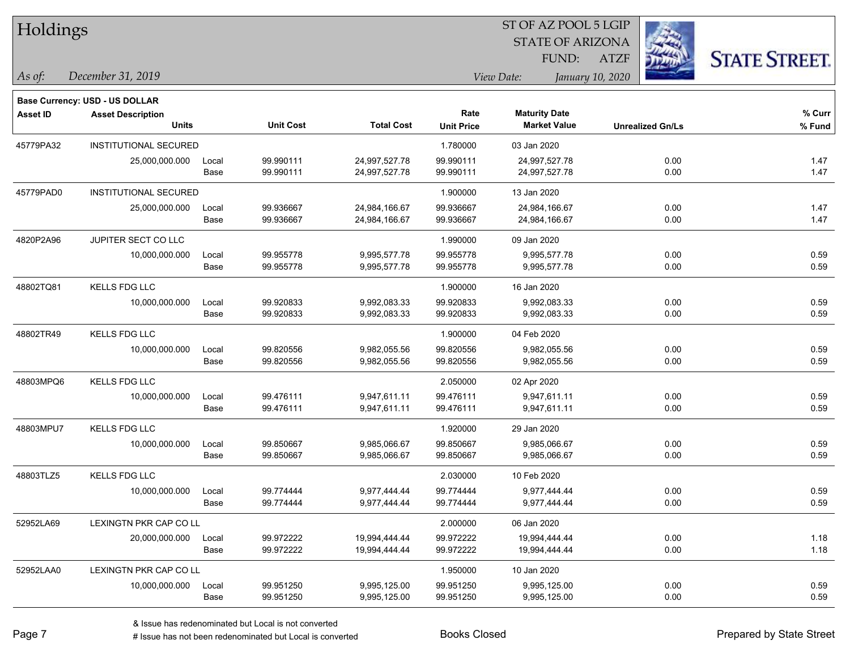| Holdings        |                                       |       |                  |                   |                   | ST OF AZ POOL 5 LGIP    |                         |                      |
|-----------------|---------------------------------------|-------|------------------|-------------------|-------------------|-------------------------|-------------------------|----------------------|
|                 |                                       |       |                  |                   |                   | <b>STATE OF ARIZONA</b> |                         |                      |
|                 |                                       |       |                  |                   |                   | FUND:                   | <b>ATZF</b>             | <b>STATE STREET.</b> |
| As of:          | December 31, 2019                     |       |                  |                   |                   | View Date:              | January 10, 2020        |                      |
|                 | <b>Base Currency: USD - US DOLLAR</b> |       |                  |                   |                   |                         |                         |                      |
| <b>Asset ID</b> | <b>Asset Description</b>              |       |                  |                   | Rate              | <b>Maturity Date</b>    |                         | % Curr               |
|                 | <b>Units</b>                          |       | <b>Unit Cost</b> | <b>Total Cost</b> | <b>Unit Price</b> | <b>Market Value</b>     | <b>Unrealized Gn/Ls</b> | % Fund               |
| 45779PA32       | INSTITUTIONAL SECURED                 |       |                  |                   | 1.780000          | 03 Jan 2020             |                         |                      |
|                 | 25,000,000.000                        | Local | 99.990111        | 24,997,527.78     | 99.990111         | 24,997,527.78           | 0.00                    | 1.47                 |
|                 |                                       | Base  | 99.990111        | 24,997,527.78     | 99.990111         | 24,997,527.78           | 0.00                    | 1.47                 |
| 45779PAD0       | <b>INSTITUTIONAL SECURED</b>          |       |                  |                   | 1.900000          | 13 Jan 2020             |                         |                      |
|                 | 25,000,000.000                        | Local | 99.936667        | 24,984,166.67     | 99.936667         | 24,984,166.67           | 0.00                    | 1.47                 |
|                 |                                       | Base  | 99.936667        | 24,984,166.67     | 99.936667         | 24,984,166.67           | 0.00                    | 1.47                 |
| 4820P2A96       | JUPITER SECT CO LLC                   |       |                  |                   | 1.990000          | 09 Jan 2020             |                         |                      |
|                 | 10,000,000.000                        | Local | 99.955778        | 9,995,577.78      | 99.955778         | 9,995,577.78            | 0.00                    | 0.59                 |
|                 |                                       | Base  | 99.955778        | 9,995,577.78      | 99.955778         | 9,995,577.78            | 0.00                    | 0.59                 |
| 48802TQ81       | <b>KELLS FDG LLC</b>                  |       |                  |                   | 1.900000          | 16 Jan 2020             |                         |                      |
|                 | 10,000,000.000                        | Local | 99.920833        | 9,992,083.33      | 99.920833         | 9,992,083.33            | 0.00                    | 0.59                 |
|                 |                                       | Base  | 99.920833        | 9,992,083.33      | 99.920833         | 9,992,083.33            | 0.00                    | 0.59                 |
| 48802TR49       | KELLS FDG LLC                         |       |                  |                   | 1.900000          | 04 Feb 2020             |                         |                      |
|                 | 10,000,000.000                        | Local | 99.820556        | 9,982,055.56      | 99.820556         | 9,982,055.56            | 0.00                    | 0.59                 |
|                 |                                       | Base  | 99.820556        | 9,982,055.56      | 99.820556         | 9,982,055.56            | 0.00                    | 0.59                 |
| 48803MPQ6       | <b>KELLS FDG LLC</b>                  |       |                  |                   | 2.050000          | 02 Apr 2020             |                         |                      |
|                 | 10,000,000.000                        | Local | 99.476111        | 9,947,611.11      | 99.476111         | 9,947,611.11            | 0.00                    | 0.59                 |
|                 |                                       | Base  | 99.476111        | 9,947,611.11      | 99.476111         | 9,947,611.11            | 0.00                    | 0.59                 |
| 48803MPU7       | KELLS FDG LLC                         |       |                  |                   | 1.920000          | 29 Jan 2020             |                         |                      |
|                 | 10,000,000.000                        | Local | 99.850667        | 9,985,066.67      | 99.850667         | 9,985,066.67            | 0.00                    | 0.59                 |
|                 |                                       | Base  | 99.850667        | 9,985,066.67      | 99.850667         | 9,985,066.67            | 0.00                    | 0.59                 |
| 48803TLZ5       | <b>KELLS FDG LLC</b>                  |       |                  |                   | 2.030000          | 10 Feb 2020             |                         |                      |
|                 | 10,000,000.000                        | Local | 99.774444        | 9,977,444.44      | 99.774444         | 9,977,444.44            | 0.00                    | 0.59                 |
|                 |                                       | Base  | 99.774444        | 9,977,444.44      | 99.774444         | 9,977,444.44            | 0.00                    | 0.59                 |
| 52952LA69       | LEXINGTN PKR CAP CO LL                |       |                  |                   | 2.000000          | 06 Jan 2020             |                         |                      |
|                 | 20,000,000.000                        | Local | 99.972222        | 19,994,444.44     | 99.972222         | 19,994,444.44           | 0.00                    | 1.18                 |
|                 |                                       | Base  | 99.972222        | 19,994,444.44     | 99.972222         | 19,994,444.44           | 0.00                    | 1.18                 |
| 52952LAA0       | LEXINGTN PKR CAP CO LL                |       |                  |                   | 1.950000          | 10 Jan 2020             |                         |                      |
|                 | 10,000,000.000                        | Local | 99.951250        | 9,995,125.00      | 99.951250         | 9,995,125.00            | 0.00                    | 0.59                 |
|                 |                                       | Base  | 99.951250        | 9,995,125.00      | 99.951250         | 9,995,125.00            | 0.00                    | 0.59                 |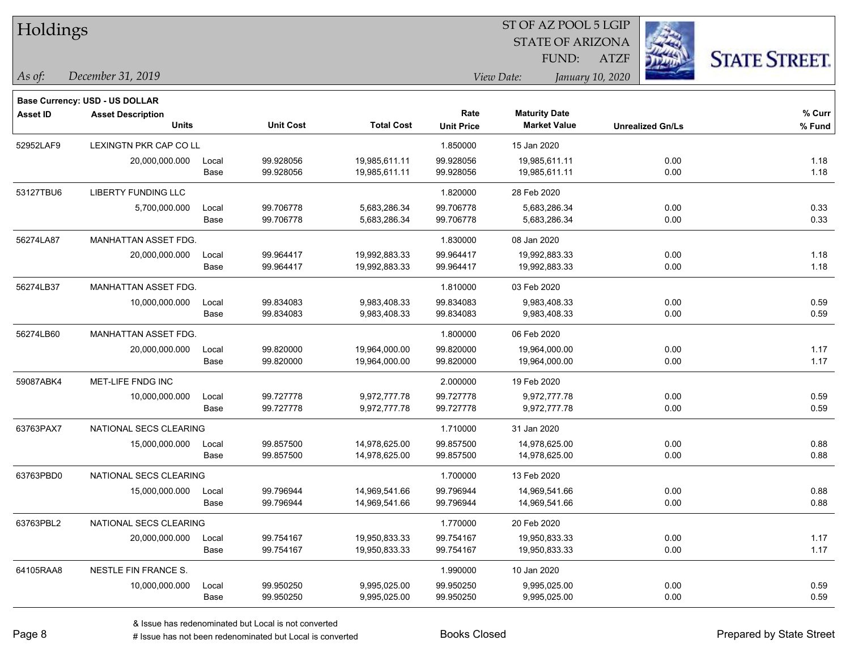| Holdings        |                                          |               |                        | ST OF AZ POOL 5 LGIP           |                           |                                             |                         |                      |  |  |
|-----------------|------------------------------------------|---------------|------------------------|--------------------------------|---------------------------|---------------------------------------------|-------------------------|----------------------|--|--|
|                 |                                          |               |                        |                                |                           | <b>STATE OF ARIZONA</b>                     |                         |                      |  |  |
|                 |                                          |               |                        |                                |                           | <b>FUND:</b>                                | <b>ATZF</b>             | <b>STATE STREET.</b> |  |  |
| As of:          | December 31, 2019                        |               |                        |                                |                           | View Date:                                  | January 10, 2020        |                      |  |  |
|                 |                                          |               |                        |                                |                           |                                             |                         |                      |  |  |
|                 | <b>Base Currency: USD - US DOLLAR</b>    |               |                        |                                |                           |                                             |                         |                      |  |  |
| <b>Asset ID</b> | <b>Asset Description</b><br><b>Units</b> |               | <b>Unit Cost</b>       | <b>Total Cost</b>              | Rate<br><b>Unit Price</b> | <b>Maturity Date</b><br><b>Market Value</b> | <b>Unrealized Gn/Ls</b> | % Curr<br>$%$ Fund   |  |  |
|                 |                                          |               |                        |                                |                           |                                             |                         |                      |  |  |
| 52952LAF9       | LEXINGTN PKR CAP CO LL                   |               | 99.928056              |                                | 1.850000<br>99.928056     | 15 Jan 2020                                 |                         |                      |  |  |
|                 | 20,000,000.000                           | Local<br>Base | 99.928056              | 19,985,611.11<br>19,985,611.11 | 99.928056                 | 19,985,611.11<br>19,985,611.11              | 0.00<br>0.00            | 1.18<br>1.18         |  |  |
|                 |                                          |               |                        |                                |                           |                                             |                         |                      |  |  |
| 53127TBU6       | <b>LIBERTY FUNDING LLC</b>               |               |                        |                                | 1.820000                  | 28 Feb 2020                                 |                         |                      |  |  |
|                 | 5,700,000.000                            | Local<br>Base | 99.706778<br>99.706778 | 5,683,286.34<br>5,683,286.34   | 99.706778<br>99.706778    | 5,683,286.34<br>5,683,286.34                | 0.00<br>0.00            | 0.33<br>0.33         |  |  |
|                 |                                          |               |                        |                                |                           |                                             |                         |                      |  |  |
| 56274LA87       | MANHATTAN ASSET FDG.                     |               |                        |                                | 1.830000                  | 08 Jan 2020                                 |                         |                      |  |  |
|                 | 20,000,000.000                           | Local<br>Base | 99.964417<br>99.964417 | 19,992,883.33<br>19,992,883.33 | 99.964417<br>99.964417    | 19,992,883.33<br>19,992,883.33              | 0.00<br>0.00            | 1.18<br>1.18         |  |  |
|                 |                                          |               |                        |                                |                           |                                             |                         |                      |  |  |
| 56274LB37       | MANHATTAN ASSET FDG.                     |               |                        |                                | 1.810000                  | 03 Feb 2020                                 |                         |                      |  |  |
|                 | 10,000,000.000                           | Local<br>Base | 99.834083<br>99.834083 | 9,983,408.33<br>9,983,408.33   | 99.834083<br>99.834083    | 9,983,408.33<br>9,983,408.33                | 0.00<br>0.00            | 0.59<br>0.59         |  |  |
|                 |                                          |               |                        |                                |                           |                                             |                         |                      |  |  |
| 56274LB60       | MANHATTAN ASSET FDG.                     |               |                        |                                | 1.800000                  | 06 Feb 2020                                 |                         |                      |  |  |
|                 | 20,000,000.000                           | Local<br>Base | 99.820000<br>99.820000 | 19,964,000.00<br>19,964,000.00 | 99.820000<br>99.820000    | 19,964,000.00<br>19,964,000.00              | 0.00<br>0.00            | 1.17<br>1.17         |  |  |
|                 |                                          |               |                        |                                |                           |                                             |                         |                      |  |  |
| 59087ABK4       | MET-LIFE FNDG INC                        |               |                        |                                | 2.000000                  | 19 Feb 2020                                 |                         |                      |  |  |
|                 | 10,000,000.000                           | Local<br>Base | 99.727778<br>99.727778 | 9,972,777.78<br>9,972,777.78   | 99.727778<br>99.727778    | 9,972,777.78<br>9,972,777.78                | 0.00<br>0.00            | 0.59<br>0.59         |  |  |
|                 |                                          |               |                        |                                |                           |                                             |                         |                      |  |  |
| 63763PAX7       | NATIONAL SECS CLEARING                   |               |                        |                                | 1.710000                  | 31 Jan 2020                                 |                         |                      |  |  |
|                 | 15,000,000.000                           | Local         | 99.857500              | 14,978,625.00                  | 99.857500                 | 14,978,625.00<br>14,978,625.00              | 0.00                    | 0.88                 |  |  |
|                 |                                          | Base          | 99.857500              | 14,978,625.00                  | 99.857500                 |                                             | 0.00                    | 0.88                 |  |  |
| 63763PBD0       | NATIONAL SECS CLEARING                   |               |                        |                                | 1.700000                  | 13 Feb 2020                                 |                         |                      |  |  |
|                 | 15,000,000.000                           | Local         | 99.796944              | 14,969,541.66                  | 99.796944                 | 14,969,541.66                               | 0.00                    | 0.88                 |  |  |
|                 |                                          | Base          | 99.796944              | 14,969,541.66                  | 99.796944                 | 14,969,541.66                               | 0.00                    | 0.88                 |  |  |
| 63763PBL2       | NATIONAL SECS CLEARING                   |               |                        |                                | 1.770000                  | 20 Feb 2020                                 |                         |                      |  |  |
|                 | 20,000,000.000                           | Local         | 99.754167              | 19,950,833.33                  | 99.754167                 | 19,950,833.33                               | 0.00                    | 1.17                 |  |  |
|                 |                                          | Base          | 99.754167              | 19,950,833.33                  | 99.754167                 | 19,950,833.33                               | 0.00                    | 1.17                 |  |  |
| 64105RAA8       | NESTLE FIN FRANCE S.                     |               |                        |                                | 1.990000                  | 10 Jan 2020                                 |                         |                      |  |  |
|                 | 10,000,000.000                           | Local         | 99.950250              | 9,995,025.00                   | 99.950250                 | 9,995,025.00                                | 0.00                    | 0.59                 |  |  |
|                 |                                          | Base          | 99.950250              | 9,995,025.00                   | 99.950250                 | 9,995,025.00                                | 0.00                    | 0.59                 |  |  |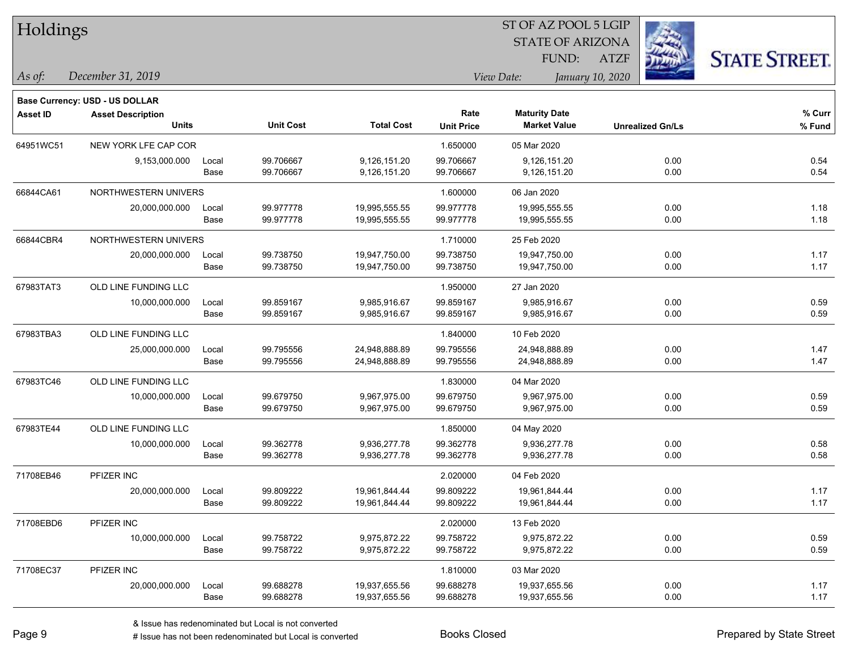| Holdings        |                                |       |                  |                   |                   | ST OF AZ POOL 5 LGIP    |                         |                      |
|-----------------|--------------------------------|-------|------------------|-------------------|-------------------|-------------------------|-------------------------|----------------------|
|                 |                                |       |                  |                   |                   | <b>STATE OF ARIZONA</b> |                         |                      |
|                 |                                |       |                  |                   |                   | <b>FUND:</b>            | <b>ATZF</b>             | <b>STATE STREET.</b> |
| As of:          | December 31, 2019              |       |                  |                   |                   | View Date:              | January 10, 2020        |                      |
|                 | Base Currency: USD - US DOLLAR |       |                  |                   |                   |                         |                         |                      |
| <b>Asset ID</b> | <b>Asset Description</b>       |       |                  |                   | Rate              | <b>Maturity Date</b>    |                         | % Curr               |
|                 | <b>Units</b>                   |       | <b>Unit Cost</b> | <b>Total Cost</b> | <b>Unit Price</b> | <b>Market Value</b>     | <b>Unrealized Gn/Ls</b> | % Fund               |
| 64951WC51       | NEW YORK LFE CAP COR           |       |                  |                   | 1.650000          | 05 Mar 2020             |                         |                      |
|                 | 9,153,000.000                  | Local | 99.706667        | 9,126,151.20      | 99.706667         | 9,126,151.20            | 0.00                    | 0.54                 |
|                 |                                | Base  | 99.706667        | 9,126,151.20      | 99.706667         | 9,126,151.20            | 0.00                    | 0.54                 |
| 66844CA61       | NORTHWESTERN UNIVERS           |       |                  |                   | 1.600000          | 06 Jan 2020             |                         |                      |
|                 | 20,000,000.000                 | Local | 99.977778        | 19,995,555.55     | 99.977778         | 19,995,555.55           | 0.00                    | 1.18                 |
|                 |                                | Base  | 99.977778        | 19,995,555.55     | 99.977778         | 19,995,555.55           | 0.00                    | 1.18                 |
| 66844CBR4       | NORTHWESTERN UNIVERS           |       |                  |                   | 1.710000          | 25 Feb 2020             |                         |                      |
|                 | 20,000,000.000                 | Local | 99.738750        | 19,947,750.00     | 99.738750         | 19,947,750.00           | 0.00                    | 1.17                 |
|                 |                                | Base  | 99.738750        | 19,947,750.00     | 99.738750         | 19,947,750.00           | 0.00                    | 1.17                 |
| 67983TAT3       | OLD LINE FUNDING LLC           |       |                  |                   | 1.950000          | 27 Jan 2020             |                         |                      |
|                 | 10,000,000.000                 | Local | 99.859167        | 9,985,916.67      | 99.859167         | 9,985,916.67            | 0.00                    | 0.59                 |
|                 |                                | Base  | 99.859167        | 9,985,916.67      | 99.859167         | 9,985,916.67            | 0.00                    | 0.59                 |
| 67983TBA3       | OLD LINE FUNDING LLC           |       |                  |                   | 1.840000          | 10 Feb 2020             |                         |                      |
|                 | 25,000,000.000                 | Local | 99.795556        | 24,948,888.89     | 99.795556         | 24,948,888.89           | 0.00                    | 1.47                 |
|                 |                                | Base  | 99.795556        | 24,948,888.89     | 99.795556         | 24,948,888.89           | 0.00                    | 1.47                 |
| 67983TC46       | OLD LINE FUNDING LLC           |       |                  |                   | 1.830000          | 04 Mar 2020             |                         |                      |
|                 | 10,000,000.000                 | Local | 99.679750        | 9,967,975.00      | 99.679750         | 9,967,975.00            | 0.00                    | 0.59                 |
|                 |                                | Base  | 99.679750        | 9,967,975.00      | 99.679750         | 9,967,975.00            | 0.00                    | 0.59                 |
| 67983TE44       | OLD LINE FUNDING LLC           |       |                  |                   | 1.850000          | 04 May 2020             |                         |                      |
|                 | 10,000,000.000                 | Local | 99.362778        | 9,936,277.78      | 99.362778         | 9,936,277.78            | 0.00                    | 0.58                 |
|                 |                                | Base  | 99.362778        | 9,936,277.78      | 99.362778         | 9,936,277.78            | 0.00                    | 0.58                 |
| 71708EB46       | PFIZER INC                     |       |                  |                   | 2.020000          | 04 Feb 2020             |                         |                      |
|                 | 20,000,000.000                 | Local | 99.809222        | 19,961,844.44     | 99.809222         | 19,961,844.44           | 0.00                    | 1.17                 |
|                 |                                | Base  | 99.809222        | 19,961,844.44     | 99.809222         | 19,961,844.44           | 0.00                    | 1.17                 |
| 71708EBD6       | PFIZER INC                     |       |                  |                   | 2.020000          | 13 Feb 2020             |                         |                      |
|                 | 10,000,000.000                 | Local | 99.758722        | 9,975,872.22      | 99.758722         | 9,975,872.22            | 0.00                    | 0.59                 |
|                 |                                | Base  | 99.758722        | 9,975,872.22      | 99.758722         | 9,975,872.22            | 0.00                    | 0.59                 |
| 71708EC37       | PFIZER INC                     |       |                  |                   | 1.810000          | 03 Mar 2020             |                         |                      |
|                 | 20,000,000.000                 | Local | 99.688278        | 19,937,655.56     | 99.688278         | 19,937,655.56           | 0.00                    | 1.17                 |
|                 |                                | Base  | 99.688278        | 19,937,655.56     | 99.688278         | 19,937,655.56           | 0.00                    | 1.17                 |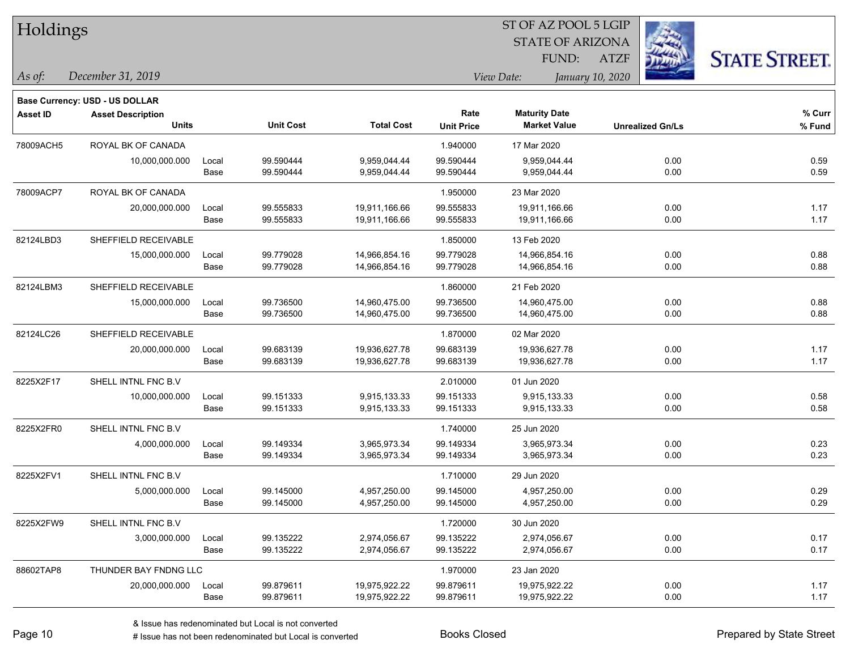| Holdings        |                                |       |                  |                   |                   | ST OF AZ POOL 5 LGIP    |                         |                      |
|-----------------|--------------------------------|-------|------------------|-------------------|-------------------|-------------------------|-------------------------|----------------------|
|                 |                                |       |                  |                   |                   | <b>STATE OF ARIZONA</b> |                         |                      |
|                 |                                |       |                  |                   |                   | <b>FUND:</b>            | <b>ATZF</b>             | <b>STATE STREET.</b> |
| As of:          | December 31, 2019              |       |                  |                   |                   | View Date:              | January 10, 2020        |                      |
|                 | Base Currency: USD - US DOLLAR |       |                  |                   |                   |                         |                         |                      |
| <b>Asset ID</b> | <b>Asset Description</b>       |       |                  |                   | Rate              | <b>Maturity Date</b>    |                         | % Curr               |
|                 | <b>Units</b>                   |       | <b>Unit Cost</b> | <b>Total Cost</b> | <b>Unit Price</b> | <b>Market Value</b>     | <b>Unrealized Gn/Ls</b> | % Fund               |
| 78009ACH5       | ROYAL BK OF CANADA             |       |                  |                   | 1.940000          | 17 Mar 2020             |                         |                      |
|                 | 10,000,000.000                 | Local | 99.590444        | 9,959,044.44      | 99.590444         | 9,959,044.44            | 0.00                    | 0.59                 |
|                 |                                | Base  | 99.590444        | 9,959,044.44      | 99.590444         | 9,959,044.44            | 0.00                    | 0.59                 |
| 78009ACP7       | ROYAL BK OF CANADA             |       |                  |                   | 1.950000          | 23 Mar 2020             |                         |                      |
|                 | 20,000,000.000                 | Local | 99.555833        | 19,911,166.66     | 99.555833         | 19,911,166.66           | 0.00                    | 1.17                 |
|                 |                                | Base  | 99.555833        | 19,911,166.66     | 99.555833         | 19,911,166.66           | 0.00                    | 1.17                 |
| 82124LBD3       | SHEFFIELD RECEIVABLE           |       |                  |                   | 1.850000          | 13 Feb 2020             |                         |                      |
|                 | 15,000,000.000                 | Local | 99.779028        | 14,966,854.16     | 99.779028         | 14,966,854.16           | 0.00                    | 0.88                 |
|                 |                                | Base  | 99.779028        | 14,966,854.16     | 99.779028         | 14,966,854.16           | 0.00                    | 0.88                 |
| 82124LBM3       | SHEFFIELD RECEIVABLE           |       |                  |                   | 1.860000          | 21 Feb 2020             |                         |                      |
|                 | 15,000,000.000                 | Local | 99.736500        | 14,960,475.00     | 99.736500         | 14,960,475.00           | 0.00                    | 0.88                 |
|                 |                                | Base  | 99.736500        | 14,960,475.00     | 99.736500         | 14,960,475.00           | 0.00                    | 0.88                 |
| 82124LC26       | SHEFFIELD RECEIVABLE           |       |                  |                   | 1.870000          | 02 Mar 2020             |                         |                      |
|                 | 20,000,000.000                 | Local | 99.683139        | 19,936,627.78     | 99.683139         | 19,936,627.78           | 0.00                    | 1.17                 |
|                 |                                | Base  | 99.683139        | 19,936,627.78     | 99.683139         | 19,936,627.78           | 0.00                    | 1.17                 |
| 8225X2F17       | SHELL INTNL FNC B.V            |       |                  |                   | 2.010000          | 01 Jun 2020             |                         |                      |
|                 | 10,000,000.000                 | Local | 99.151333        | 9,915,133.33      | 99.151333         | 9,915,133.33            | 0.00                    | 0.58                 |
|                 |                                | Base  | 99.151333        | 9,915,133.33      | 99.151333         | 9,915,133.33            | 0.00                    | 0.58                 |
| 8225X2FR0       | SHELL INTNL FNC B.V            |       |                  |                   | 1.740000          | 25 Jun 2020             |                         |                      |
|                 | 4,000,000.000                  | Local | 99.149334        | 3,965,973.34      | 99.149334         | 3,965,973.34            | 0.00                    | 0.23                 |
|                 |                                | Base  | 99.149334        | 3,965,973.34      | 99.149334         | 3,965,973.34            | 0.00                    | 0.23                 |
| 8225X2FV1       | SHELL INTNL FNC B.V            |       |                  |                   | 1.710000          | 29 Jun 2020             |                         |                      |
|                 | 5,000,000.000                  | Local | 99.145000        | 4,957,250.00      | 99.145000         | 4,957,250.00            | 0.00                    | 0.29                 |
|                 |                                | Base  | 99.145000        | 4,957,250.00      | 99.145000         | 4,957,250.00            | 0.00                    | 0.29                 |
| 8225X2FW9       | SHELL INTNL FNC B.V            |       |                  |                   | 1.720000          | 30 Jun 2020             |                         |                      |
|                 | 3,000,000.000                  | Local | 99.135222        | 2,974,056.67      | 99.135222         | 2,974,056.67            | 0.00                    | 0.17                 |
|                 |                                | Base  | 99.135222        | 2,974,056.67      | 99.135222         | 2,974,056.67            | 0.00                    | 0.17                 |
| 88602TAP8       | THUNDER BAY FNDNG LLC          |       |                  |                   | 1.970000          | 23 Jan 2020             |                         |                      |
|                 | 20,000,000.000                 | Local | 99.879611        | 19,975,922.22     | 99.879611         | 19,975,922.22           | 0.00                    | 1.17                 |
|                 |                                | Base  | 99.879611        | 19,975,922.22     | 99.879611         | 19,975,922.22           | 0.00                    | 1.17                 |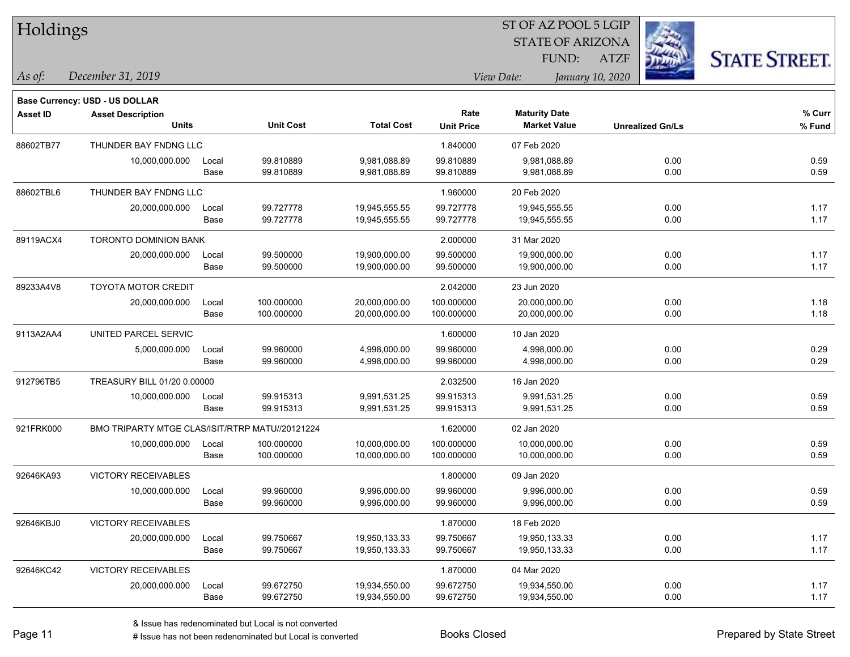| Holdings        |                                                 |       |                  |                   |                   |                      | ST OF AZ POOL 5 LGIP    |                         |                      |
|-----------------|-------------------------------------------------|-------|------------------|-------------------|-------------------|----------------------|-------------------------|-------------------------|----------------------|
|                 |                                                 |       |                  |                   |                   |                      | <b>STATE OF ARIZONA</b> |                         |                      |
|                 |                                                 |       |                  |                   |                   | FUND:                | <b>ATZF</b>             |                         | <b>STATE STREET.</b> |
| As of:          | December 31, 2019                               |       |                  |                   |                   | View Date:           | January 10, 2020        |                         |                      |
|                 | <b>Base Currency: USD - US DOLLAR</b>           |       |                  |                   |                   |                      |                         |                         |                      |
| <b>Asset ID</b> | <b>Asset Description</b>                        |       |                  |                   | Rate              | <b>Maturity Date</b> |                         |                         | % Curr               |
|                 | <b>Units</b>                                    |       | <b>Unit Cost</b> | <b>Total Cost</b> | <b>Unit Price</b> | <b>Market Value</b>  |                         | <b>Unrealized Gn/Ls</b> | % Fund               |
| 88602TB77       | THUNDER BAY FNDNG LLC                           |       |                  |                   | 1.840000          | 07 Feb 2020          |                         |                         |                      |
|                 | 10,000,000.000                                  | Local | 99.810889        | 9,981,088.89      | 99.810889         | 9,981,088.89         |                         | 0.00                    | 0.59                 |
|                 |                                                 | Base  | 99.810889        | 9,981,088.89      | 99.810889         | 9,981,088.89         |                         | 0.00                    | 0.59                 |
| 88602TBL6       | THUNDER BAY FNDNG LLC                           |       |                  |                   | 1.960000          | 20 Feb 2020          |                         |                         |                      |
|                 | 20,000,000.000                                  | Local | 99.727778        | 19,945,555.55     | 99.727778         | 19,945,555.55        |                         | 0.00                    | 1.17                 |
|                 |                                                 | Base  | 99.727778        | 19,945,555.55     | 99.727778         | 19,945,555.55        |                         | 0.00                    | 1.17                 |
| 89119ACX4       | TORONTO DOMINION BANK                           |       |                  |                   | 2.000000          | 31 Mar 2020          |                         |                         |                      |
|                 | 20,000,000.000                                  | Local | 99.500000        | 19,900,000.00     | 99.500000         | 19,900,000.00        |                         | 0.00                    | 1.17                 |
|                 |                                                 | Base  | 99.500000        | 19,900,000.00     | 99.500000         | 19,900,000.00        |                         | 0.00                    | 1.17                 |
| 89233A4V8       | <b>TOYOTA MOTOR CREDIT</b>                      |       |                  |                   | 2.042000          | 23 Jun 2020          |                         |                         |                      |
|                 | 20,000,000.000                                  | Local | 100.000000       | 20,000,000.00     | 100.000000        | 20,000,000.00        |                         | 0.00                    | 1.18                 |
|                 |                                                 | Base  | 100.000000       | 20,000,000.00     | 100.000000        | 20,000,000.00        |                         | 0.00                    | 1.18                 |
| 9113A2AA4       | UNITED PARCEL SERVIC                            |       |                  |                   | 1.600000          | 10 Jan 2020          |                         |                         |                      |
|                 | 5,000,000.000                                   | Local | 99.960000        | 4,998,000.00      | 99.960000         | 4,998,000.00         |                         | 0.00                    | 0.29                 |
|                 |                                                 | Base  | 99.960000        | 4,998,000.00      | 99.960000         | 4,998,000.00         |                         | 0.00                    | 0.29                 |
| 912796TB5       | TREASURY BILL 01/20 0.00000                     |       |                  |                   | 2.032500          | 16 Jan 2020          |                         |                         |                      |
|                 | 10,000,000.000                                  | Local | 99.915313        | 9,991,531.25      | 99.915313         | 9,991,531.25         |                         | 0.00                    | 0.59                 |
|                 |                                                 | Base  | 99.915313        | 9,991,531.25      | 99.915313         | 9,991,531.25         |                         | 0.00                    | 0.59                 |
| 921FRK000       | BMO TRIPARTY MTGE CLAS/ISIT/RTRP MATU//20121224 |       |                  |                   | 1.620000          | 02 Jan 2020          |                         |                         |                      |
|                 | 10,000,000.000                                  | Local | 100.000000       | 10,000,000.00     | 100.000000        | 10,000,000.00        |                         | 0.00                    | 0.59                 |
|                 |                                                 | Base  | 100.000000       | 10,000,000.00     | 100.000000        | 10,000,000.00        |                         | 0.00                    | 0.59                 |
| 92646KA93       | VICTORY RECEIVABLES                             |       |                  |                   | 1.800000          | 09 Jan 2020          |                         |                         |                      |
|                 | 10,000,000.000                                  | Local | 99.960000        | 9,996,000.00      | 99.960000         | 9,996,000.00         |                         | 0.00                    | 0.59                 |
|                 |                                                 | Base  | 99.960000        | 9,996,000.00      | 99.960000         | 9,996,000.00         |                         | 0.00                    | 0.59                 |
| 92646KBJ0       | VICTORY RECEIVABLES                             |       |                  |                   | 1.870000          | 18 Feb 2020          |                         |                         |                      |
|                 | 20,000,000.000                                  | Local | 99.750667        | 19,950,133.33     | 99.750667         | 19,950,133.33        |                         | 0.00                    | 1.17                 |
|                 |                                                 | Base  | 99.750667        | 19,950,133.33     | 99.750667         | 19,950,133.33        |                         | 0.00                    | 1.17                 |
| 92646KC42       | <b>VICTORY RECEIVABLES</b>                      |       |                  |                   | 1.870000          | 04 Mar 2020          |                         |                         |                      |
|                 | 20,000,000.000                                  | Local | 99.672750        | 19,934,550.00     | 99.672750         | 19,934,550.00        |                         | 0.00                    | 1.17                 |
|                 |                                                 | Base  | 99.672750        | 19,934,550.00     | 99.672750         | 19,934,550.00        |                         | 0.00                    | 1.17                 |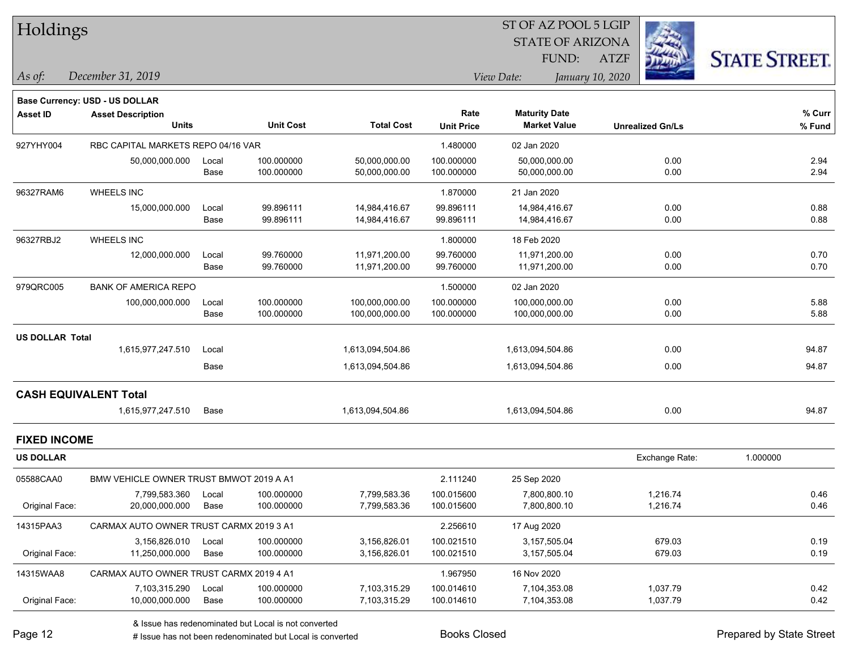| Holdings               |                                         |       |                  |                   |                   | ST OF AZ POOL 5 LGIP           |                         |                      |
|------------------------|-----------------------------------------|-------|------------------|-------------------|-------------------|--------------------------------|-------------------------|----------------------|
|                        |                                         |       |                  |                   |                   | <b>STATE OF ARIZONA</b>        |                         |                      |
|                        |                                         |       |                  |                   |                   | FUND:                          | <b>ATZF</b>             | <b>STATE STREET.</b> |
| As of:                 | December 31, 2019                       |       |                  |                   |                   | View Date:<br>January 10, 2020 |                         |                      |
|                        | Base Currency: USD - US DOLLAR          |       |                  |                   |                   |                                |                         |                      |
| <b>Asset ID</b>        | <b>Asset Description</b>                |       |                  |                   | Rate              | <b>Maturity Date</b>           |                         | % Curr               |
|                        | <b>Units</b>                            |       | <b>Unit Cost</b> | <b>Total Cost</b> | <b>Unit Price</b> | <b>Market Value</b>            | <b>Unrealized Gn/Ls</b> | % Fund               |
| 927YHY004              | RBC CAPITAL MARKETS REPO 04/16 VAR      |       |                  |                   | 1.480000          | 02 Jan 2020                    |                         |                      |
|                        | 50,000,000.000                          | Local | 100.000000       | 50,000,000.00     | 100.000000        | 50,000,000.00                  | 0.00                    | 2.94                 |
|                        |                                         | Base  | 100.000000       | 50,000,000.00     | 100.000000        | 50,000,000.00                  | 0.00                    | 2.94                 |
| 96327RAM6              | <b>WHEELS INC</b>                       |       |                  |                   | 1.870000          | 21 Jan 2020                    |                         |                      |
|                        | 15,000,000.000                          | Local | 99.896111        | 14,984,416.67     | 99.896111         | 14,984,416.67                  | 0.00                    | 0.88                 |
|                        |                                         | Base  | 99.896111        | 14,984,416.67     | 99.896111         | 14,984,416.67                  | 0.00                    | 0.88                 |
| 96327RBJ2              | <b>WHEELS INC</b>                       |       |                  |                   | 1.800000          | 18 Feb 2020                    |                         |                      |
|                        | 12,000,000.000                          | Local | 99.760000        | 11,971,200.00     | 99.760000         | 11,971,200.00                  | 0.00                    | 0.70                 |
|                        |                                         | Base  | 99.760000        | 11,971,200.00     | 99.760000         | 11,971,200.00                  | 0.00                    | 0.70                 |
| 979QRC005              | <b>BANK OF AMERICA REPO</b>             |       |                  |                   | 1.500000          | 02 Jan 2020                    |                         |                      |
|                        | 100,000,000.000                         | Local | 100.000000       | 100,000,000.00    | 100.000000        | 100,000,000.00                 | 0.00                    | 5.88                 |
|                        |                                         | Base  | 100.000000       | 100,000,000.00    | 100.000000        | 100,000,000.00                 | 0.00                    | 5.88                 |
| <b>US DOLLAR Total</b> |                                         |       |                  |                   |                   |                                |                         |                      |
|                        | 1,615,977,247.510                       | Local |                  | 1,613,094,504.86  |                   | 1,613,094,504.86               | 0.00                    | 94.87                |
|                        |                                         | Base  |                  | 1,613,094,504.86  |                   | 1,613,094,504.86               | 0.00                    | 94.87                |
|                        | <b>CASH EQUIVALENT Total</b>            |       |                  |                   |                   |                                |                         |                      |
|                        | 1,615,977,247.510                       | Base  |                  | 1,613,094,504.86  |                   | 1,613,094,504.86               | 0.00                    | 94.87                |
| <b>FIXED INCOME</b>    |                                         |       |                  |                   |                   |                                |                         |                      |
| <b>US DOLLAR</b>       |                                         |       |                  |                   |                   |                                | Exchange Rate:          | 1.000000             |
| 05588CAA0              | BMW VEHICLE OWNER TRUST BMWOT 2019 A A1 |       |                  |                   | 2.111240          | 25 Sep 2020                    |                         |                      |
|                        | 7,799,583.360                           | Local | 100.000000       | 7,799,583.36      | 100.015600        | 7,800,800.10                   | 1,216.74                | 0.46                 |
| Original Face:         | 20,000,000.000                          | Base  | 100.000000       | 7,799,583.36      | 100.015600        | 7,800,800.10                   | 1,216.74                | 0.46                 |
| 14315PAA3              | CARMAX AUTO OWNER TRUST CARMX 2019 3 A1 |       |                  |                   | 2.256610          | 17 Aug 2020                    |                         |                      |
|                        | 3,156,826.010                           | Local | 100.000000       | 3,156,826.01      | 100.021510        | 3,157,505.04                   | 679.03                  | 0.19                 |
| Original Face:         | 11,250,000.000                          | Base  | 100.000000       | 3,156,826.01      | 100.021510        | 3,157,505.04                   | 679.03                  | 0.19                 |
| 14315WAA8              | CARMAX AUTO OWNER TRUST CARMX 2019 4 A1 |       |                  |                   | 1.967950          | 16 Nov 2020                    |                         |                      |
|                        | 7,103,315.290                           | Local | 100.000000       | 7,103,315.29      | 100.014610        | 7,104,353.08                   | 1,037.79                | 0.42                 |
| Original Face:         | 10,000,000.000                          | Base  | 100.000000       | 7,103,315.29      | 100.014610        | 7,104,353.08                   | 1,037.79                | 0.42                 |

J.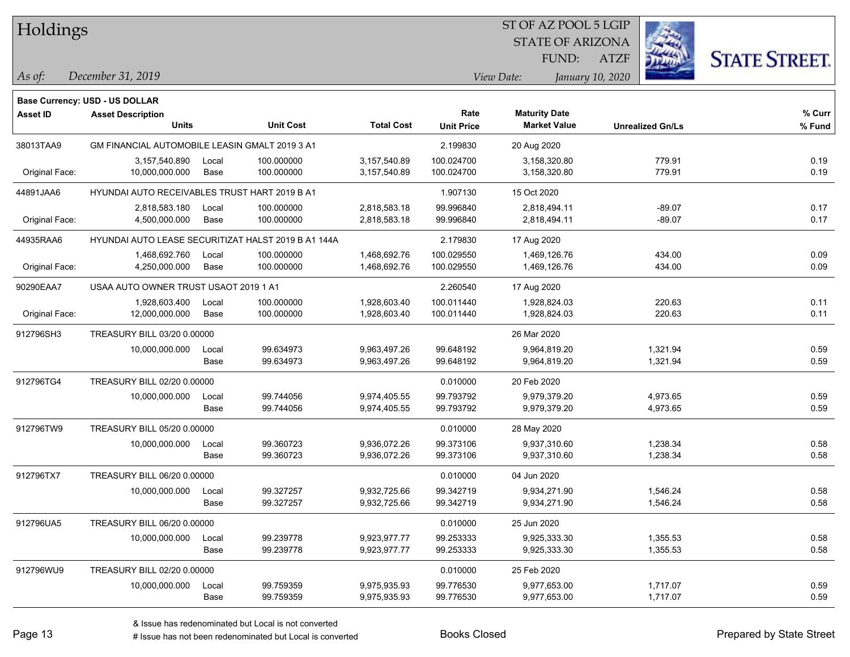| <b>Holdings</b> |                                                |       |                                                     | 51 OF AZ POOL 5 LGIP<br><b>STATE OF ARIZONA</b> |                   |                      |                  |                         |                      |
|-----------------|------------------------------------------------|-------|-----------------------------------------------------|-------------------------------------------------|-------------------|----------------------|------------------|-------------------------|----------------------|
|                 |                                                |       |                                                     |                                                 |                   | FUND:                | <b>ATZF</b>      |                         |                      |
| As of:          | December 31, 2019                              |       |                                                     |                                                 |                   | View Date:           | January 10, 2020 |                         | <b>STATE STREET.</b> |
|                 |                                                |       |                                                     |                                                 |                   |                      |                  |                         |                      |
| Asset ID        | <b>Base Currency: USD - US DOLLAR</b>          |       |                                                     |                                                 | Rate              | <b>Maturity Date</b> |                  |                         | $%$ Curr             |
|                 | <b>Asset Description</b><br><b>Units</b>       |       | <b>Unit Cost</b>                                    | <b>Total Cost</b>                               | <b>Unit Price</b> | <b>Market Value</b>  |                  | <b>Unrealized Gn/Ls</b> | % Fund               |
| 38013TAA9       | GM FINANCIAL AUTOMOBILE LEASIN GMALT 2019 3 A1 |       |                                                     |                                                 | 2.199830          | 20 Aug 2020          |                  |                         |                      |
|                 | 3,157,540.890                                  | Local | 100.000000                                          | 3,157,540.89                                    | 100.024700        | 3,158,320.80         |                  | 779.91                  | 0.19                 |
| Original Face:  | 10,000,000.000                                 | Base  | 100.000000                                          | 3,157,540.89                                    | 100.024700        | 3,158,320.80         |                  | 779.91                  | 0.19                 |
| 44891JAA6       | HYUNDAI AUTO RECEIVABLES TRUST HART 2019 B A1  |       |                                                     |                                                 | 1.907130          | 15 Oct 2020          |                  |                         |                      |
|                 | 2,818,583.180                                  | Local | 100.000000                                          | 2,818,583.18                                    | 99.996840         | 2,818,494.11         |                  | $-89.07$                | 0.17                 |
| Original Face:  | 4,500,000.000                                  | Base  | 100.000000                                          | 2,818,583.18                                    | 99.996840         | 2,818,494.11         |                  | $-89.07$                | 0.17                 |
| 44935RAA6       |                                                |       | HYUNDAI AUTO LEASE SECURITIZAT HALST 2019 B A1 144A |                                                 | 2.179830          | 17 Aug 2020          |                  |                         |                      |
|                 | 1,468,692.760                                  | Local | 100.000000                                          | 1,468,692.76                                    | 100.029550        | 1,469,126.76         |                  | 434.00                  | 0.09                 |
| Original Face:  | 4,250,000.000                                  | Base  | 100.000000                                          | 1,468,692.76                                    | 100.029550        | 1,469,126.76         |                  | 434.00                  | 0.09                 |
| 90290EAA7       | USAA AUTO OWNER TRUST USAOT 2019 1 A1          |       |                                                     |                                                 | 2.260540          | 17 Aug 2020          |                  |                         |                      |
|                 | 1,928,603.400                                  | Local | 100.000000                                          | 1,928,603.40                                    | 100.011440        | 1,928,824.03         |                  | 220.63                  | 0.11                 |
| Original Face:  | 12,000,000.000                                 | Base  | 100.000000                                          | 1,928,603.40                                    | 100.011440        | 1,928,824.03         |                  | 220.63                  | 0.11                 |
| 912796SH3       | TREASURY BILL 03/20 0.00000                    |       |                                                     |                                                 |                   | 26 Mar 2020          |                  |                         |                      |
|                 | 10,000,000.000                                 | Local | 99.634973                                           | 9,963,497.26                                    | 99.648192         | 9,964,819.20         |                  | 1,321.94                | 0.59                 |
|                 |                                                | Base  | 99.634973                                           | 9,963,497.26                                    | 99.648192         | 9,964,819.20         |                  | 1,321.94                | 0.59                 |
| 912796TG4       | TREASURY BILL 02/20 0.00000                    |       |                                                     |                                                 | 0.010000          | 20 Feb 2020          |                  |                         |                      |
|                 | 10,000,000.000                                 | Local | 99.744056                                           | 9,974,405.55                                    | 99.793792         | 9,979,379.20         |                  | 4,973.65                | 0.59                 |
|                 |                                                | Base  | 99.744056                                           | 9,974,405.55                                    | 99.793792         | 9,979,379.20         |                  | 4,973.65                | 0.59                 |
| 912796TW9       | TREASURY BILL 05/20 0.00000                    |       |                                                     |                                                 | 0.010000          | 28 May 2020          |                  |                         |                      |
|                 | 10,000,000.000                                 | Local | 99.360723                                           | 9,936,072.26                                    | 99.373106         | 9,937,310.60         |                  | 1,238.34                | 0.58                 |
|                 |                                                | Base  | 99.360723                                           | 9,936,072.26                                    | 99.373106         | 9,937,310.60         |                  | 1,238.34                | 0.58                 |
| 912796TX7       | TREASURY BILL 06/20 0.00000                    |       |                                                     |                                                 | 0.010000          | 04 Jun 2020          |                  |                         |                      |
|                 | 10,000,000.000                                 | Local | 99.327257                                           | 9,932,725.66                                    | 99.342719         | 9,934,271.90         |                  | 1,546.24                | 0.58                 |
|                 |                                                | Base  | 99.327257                                           | 9,932,725.66                                    | 99.342719         | 9,934,271.90         |                  | 1,546.24                | 0.58                 |
| 912796UA5       | TREASURY BILL 06/20 0.00000                    |       |                                                     |                                                 | 0.010000          | 25 Jun 2020          |                  |                         |                      |
|                 | 10,000,000.000                                 | Local | 99.239778                                           | 9,923,977.77                                    | 99.253333         | 9,925,333.30         |                  | 1,355.53                | 0.58                 |
|                 |                                                | Base  | 99.239778                                           | 9,923,977.77                                    | 99.253333         | 9,925,333.30         |                  | 1,355.53                | 0.58                 |
| 912796WU9       | TREASURY BILL 02/20 0.00000                    |       |                                                     |                                                 | 0.010000          | 25 Feb 2020          |                  |                         |                      |
|                 | 10,000,000.000                                 | Local | 99.759359                                           | 9,975,935.93                                    | 99.776530         | 9,977,653.00         |                  | 1,717.07                | 0.59                 |
|                 |                                                | Base  | 99.759359                                           | 9,975,935.93                                    | 99.776530         | 9,977,653.00         |                  | 1,717.07                | 0.59                 |

 $ST$  OF AZ POOL 5 LGIP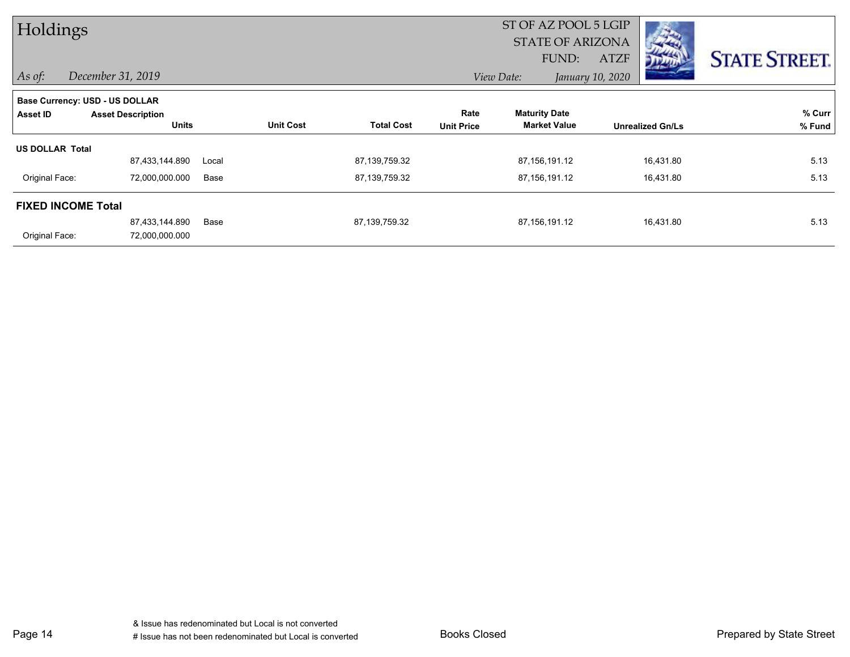| Holdings                       |                          |       |                  | ST OF AZ POOL 5 LGIP    |                   |                      |                  |                         |                      |
|--------------------------------|--------------------------|-------|------------------|-------------------------|-------------------|----------------------|------------------|-------------------------|----------------------|
|                                |                          |       |                  | <b>STATE OF ARIZONA</b> |                   |                      |                  |                         |                      |
|                                |                          |       |                  |                         |                   | FUND:                | <b>ATZF</b>      |                         | <b>STATE STREET.</b> |
| $\vert$ As of:                 | December 31, 2019        |       |                  |                         |                   | View Date:           | January 10, 2020 |                         |                      |
| Base Currency: USD - US DOLLAR |                          |       |                  |                         |                   |                      |                  |                         |                      |
| Asset ID                       | <b>Asset Description</b> |       |                  |                         | Rate              | <b>Maturity Date</b> |                  |                         | % Curr               |
|                                | <b>Units</b>             |       | <b>Unit Cost</b> | <b>Total Cost</b>       | <b>Unit Price</b> | <b>Market Value</b>  |                  | <b>Unrealized Gn/Ls</b> | % Fund               |
| <b>US DOLLAR Total</b>         |                          |       |                  |                         |                   |                      |                  |                         |                      |
|                                | 87,433,144.890           | Local |                  | 87,139,759.32           |                   | 87,156,191.12        |                  | 16,431.80               | 5.13                 |
| Original Face:                 | 72,000,000.000           | Base  |                  | 87,139,759.32           |                   | 87,156,191.12        |                  | 16,431.80               | 5.13                 |
| <b>FIXED INCOME Total</b>      |                          |       |                  |                         |                   |                      |                  |                         |                      |
|                                | 87,433,144.890           | Base  |                  | 87,139,759.32           |                   | 87,156,191.12        |                  | 16,431.80               | 5.13                 |
| Original Face:                 | 72,000,000.000           |       |                  |                         |                   |                      |                  |                         |                      |

Page 14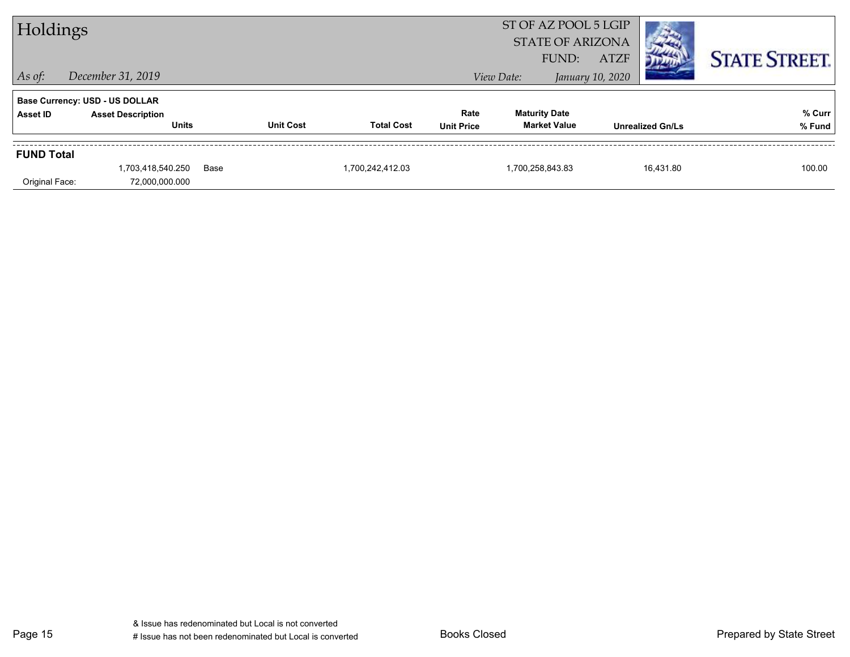| Holdings          |                                       |      | ST OF AZ POOL 5 LGIP |                   |                   |                      |                         |                         |                      |
|-------------------|---------------------------------------|------|----------------------|-------------------|-------------------|----------------------|-------------------------|-------------------------|----------------------|
|                   |                                       |      |                      |                   |                   |                      | <b>STATE OF ARIZONA</b> |                         |                      |
|                   |                                       |      |                      |                   |                   | FUND:                | <b>ATZF</b>             |                         | <b>STATE STREET.</b> |
| $\vert$ As of:    | December 31, 2019                     |      |                      |                   |                   | View Date:           | January 10, 2020        |                         |                      |
|                   | <b>Base Currency: USD - US DOLLAR</b> |      |                      |                   |                   |                      |                         |                         |                      |
| Asset ID          | <b>Asset Description</b>              |      |                      |                   | Rate              | <b>Maturity Date</b> |                         |                         | % Curr               |
|                   | <b>Units</b>                          |      | <b>Unit Cost</b>     | <b>Total Cost</b> | <b>Unit Price</b> | <b>Market Value</b>  |                         | <b>Unrealized Gn/Ls</b> | % Fund               |
| <b>FUND Total</b> |                                       |      |                      |                   |                   |                      |                         |                         |                      |
|                   | 1,703,418,540.250                     | Base |                      | 1,700,242,412.03  |                   | 1,700,258,843.83     |                         | 16,431.80               | 100.00               |
| Original Face:    | 72,000,000.000                        |      |                      |                   |                   |                      |                         |                         |                      |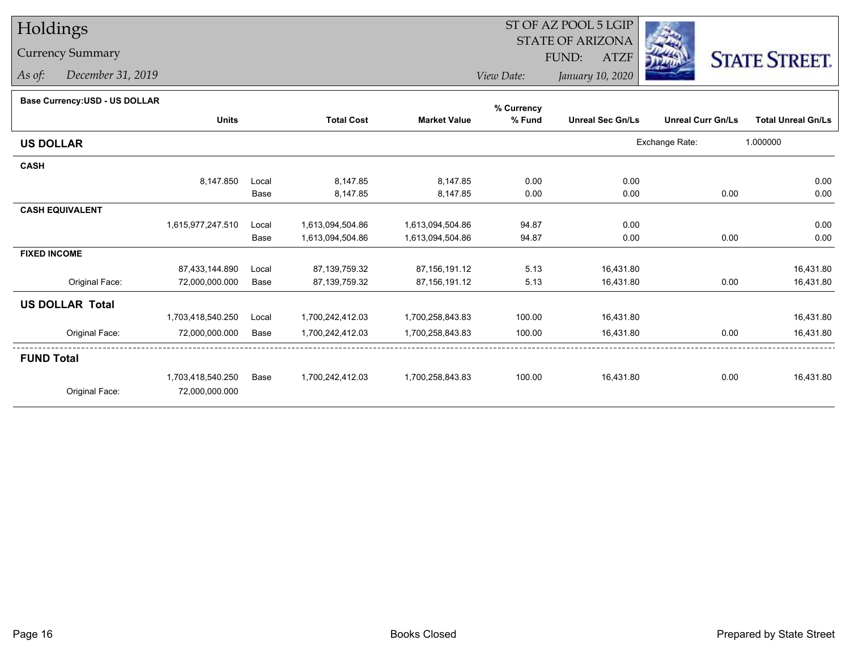## Holdings

## Currency Summary

*As of: December 31, 2019*

## ST OF AZ POOL 5 LGIP STATE OF ARIZONAATZF FUND:



*View Date:January 10, 2020*

## **Base Currency:USD - US DOLLAR**

|                        |                   |       |                   |                     | % Currency |                         |                          |                           |
|------------------------|-------------------|-------|-------------------|---------------------|------------|-------------------------|--------------------------|---------------------------|
|                        | <b>Units</b>      |       | <b>Total Cost</b> | <b>Market Value</b> | % Fund     | <b>Unreal Sec Gn/Ls</b> | <b>Unreal Curr Gn/Ls</b> | <b>Total Unreal Gn/Ls</b> |
| <b>US DOLLAR</b>       |                   |       |                   |                     |            |                         | Exchange Rate:           | 1.000000                  |
| <b>CASH</b>            |                   |       |                   |                     |            |                         |                          |                           |
|                        | 8,147.850         | Local | 8,147.85          | 8,147.85            | 0.00       | 0.00                    |                          | 0.00                      |
|                        |                   | Base  | 8,147.85          | 8,147.85            | 0.00       | 0.00                    | 0.00                     | 0.00                      |
| <b>CASH EQUIVALENT</b> |                   |       |                   |                     |            |                         |                          |                           |
|                        | 1,615,977,247.510 | Local | 1,613,094,504.86  | 1,613,094,504.86    | 94.87      | 0.00                    |                          | 0.00                      |
|                        |                   | Base  | 1,613,094,504.86  | 1,613,094,504.86    | 94.87      | 0.00                    | 0.00                     | 0.00                      |
| <b>FIXED INCOME</b>    |                   |       |                   |                     |            |                         |                          |                           |
|                        | 87,433,144.890    | Local | 87,139,759.32     | 87, 156, 191. 12    | 5.13       | 16,431.80               |                          | 16,431.80                 |
| Original Face:         | 72,000,000.000    | Base  | 87,139,759.32     | 87, 156, 191. 12    | 5.13       | 16,431.80               | 0.00                     | 16,431.80                 |
| <b>US DOLLAR Total</b> |                   |       |                   |                     |            |                         |                          |                           |
|                        | 1,703,418,540.250 | Local | 1,700,242,412.03  | 1,700,258,843.83    | 100.00     | 16,431.80               |                          | 16,431.80                 |
| Original Face:         | 72,000,000.000    | Base  | 1,700,242,412.03  | 1,700,258,843.83    | 100.00     | 16,431.80               | 0.00                     | 16,431.80                 |
| <b>FUND Total</b>      |                   |       |                   |                     |            |                         |                          |                           |
|                        | 1,703,418,540.250 | Base  | 1,700,242,412.03  | 1,700,258,843.83    | 100.00     | 16,431.80               | 0.00                     | 16,431.80                 |
| Original Face:         | 72,000,000.000    |       |                   |                     |            |                         |                          |                           |
|                        |                   |       |                   |                     |            |                         |                          |                           |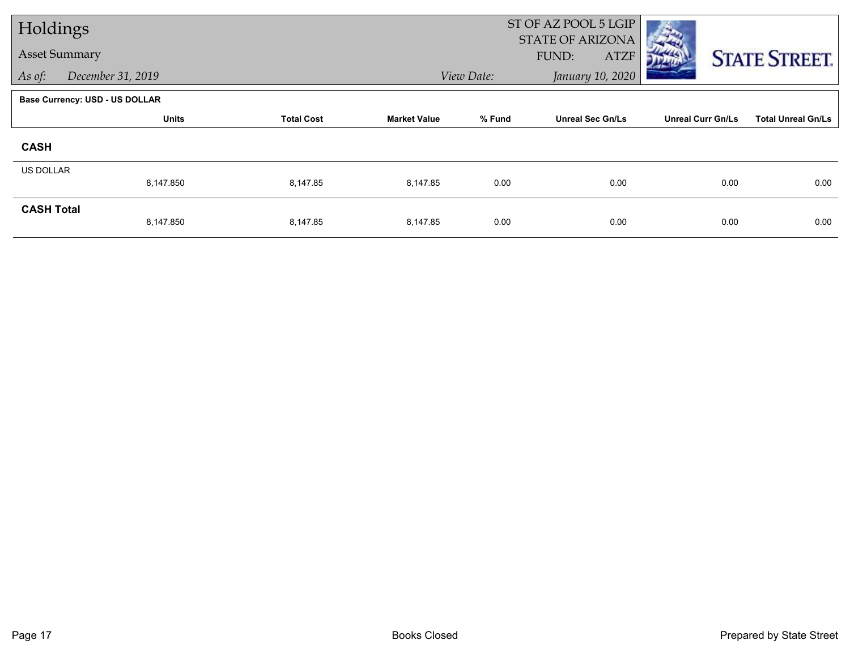| Holdings             |                                       |                   |                     | ST OF AZ POOL 5 LGIP<br><b>STATE OF ARIZONA</b> |                         |                          |                           |  |
|----------------------|---------------------------------------|-------------------|---------------------|-------------------------------------------------|-------------------------|--------------------------|---------------------------|--|
| <b>Asset Summary</b> |                                       |                   |                     |                                                 | FUND:<br><b>ATZF</b>    |                          | <b>STATE STREET.</b>      |  |
| As of:               | December 31, 2019                     |                   |                     | View Date:                                      | January 10, 2020        |                          |                           |  |
|                      | <b>Base Currency: USD - US DOLLAR</b> |                   |                     |                                                 |                         |                          |                           |  |
|                      | <b>Units</b>                          | <b>Total Cost</b> | <b>Market Value</b> | % Fund                                          | <b>Unreal Sec Gn/Ls</b> | <b>Unreal Curr Gn/Ls</b> | <b>Total Unreal Gn/Ls</b> |  |
| <b>CASH</b>          |                                       |                   |                     |                                                 |                         |                          |                           |  |
| <b>US DOLLAR</b>     | 8,147.850                             | 8,147.85          | 8,147.85            | 0.00                                            | 0.00                    | 0.00                     | 0.00                      |  |
| <b>CASH Total</b>    | 8,147.850                             | 8,147.85          | 8,147.85            | 0.00                                            | 0.00                    | 0.00                     | 0.00                      |  |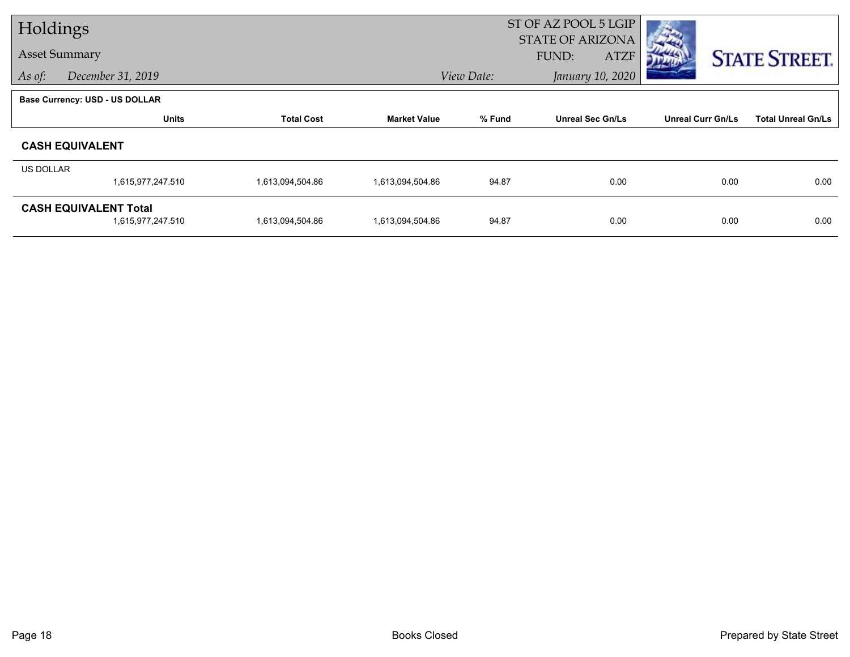| Holdings         |                                                   |                   |                     | ST OF AZ POOL 5 LGIP |                                                 |                          |                           |  |
|------------------|---------------------------------------------------|-------------------|---------------------|----------------------|-------------------------------------------------|--------------------------|---------------------------|--|
|                  | <b>Asset Summary</b>                              |                   |                     |                      | <b>STATE OF ARIZONA</b><br>FUND:<br><b>ATZF</b> |                          | <b>STATE STREET.</b>      |  |
| As of:           | December 31, 2019                                 |                   |                     | View Date:           | January 10, 2020                                |                          |                           |  |
|                  | <b>Base Currency: USD - US DOLLAR</b>             |                   |                     |                      |                                                 |                          |                           |  |
|                  | <b>Units</b>                                      | <b>Total Cost</b> | <b>Market Value</b> | % Fund               | <b>Unreal Sec Gn/Ls</b>                         | <b>Unreal Curr Gn/Ls</b> | <b>Total Unreal Gn/Ls</b> |  |
|                  | <b>CASH EQUIVALENT</b>                            |                   |                     |                      |                                                 |                          |                           |  |
| <b>US DOLLAR</b> |                                                   |                   |                     |                      |                                                 |                          |                           |  |
|                  | 1,615,977,247.510                                 | 1,613,094,504.86  | 1,613,094,504.86    | 94.87                | 0.00                                            | 0.00                     | 0.00                      |  |
|                  | <b>CASH EQUIVALENT Total</b><br>1,615,977,247.510 | 1,613,094,504.86  | 1,613,094,504.86    | 94.87                | 0.00                                            | 0.00                     | 0.00                      |  |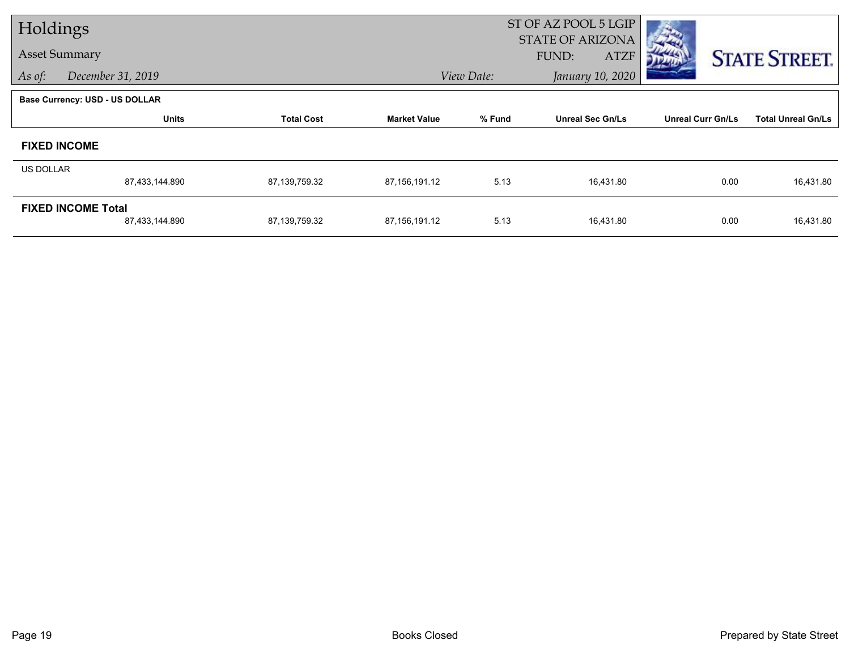| Holdings         |                                             |                   |                     |            | ST OF AZ POOL 5 LGIP                            |                          |                           |  |
|------------------|---------------------------------------------|-------------------|---------------------|------------|-------------------------------------------------|--------------------------|---------------------------|--|
|                  | <b>Asset Summary</b>                        |                   |                     |            | <b>STATE OF ARIZONA</b><br>FUND:<br><b>ATZF</b> |                          | <b>STATE STREET.</b>      |  |
| As of:           | December 31, 2019                           |                   |                     | View Date: | January 10, 2020                                |                          |                           |  |
|                  | <b>Base Currency: USD - US DOLLAR</b>       |                   |                     |            |                                                 |                          |                           |  |
|                  | <b>Units</b>                                | <b>Total Cost</b> | <b>Market Value</b> | % Fund     | <b>Unreal Sec Gn/Ls</b>                         | <b>Unreal Curr Gn/Ls</b> | <b>Total Unreal Gn/Ls</b> |  |
|                  | <b>FIXED INCOME</b>                         |                   |                     |            |                                                 |                          |                           |  |
| <b>US DOLLAR</b> |                                             |                   |                     |            |                                                 |                          |                           |  |
|                  | 87,433,144.890                              | 87,139,759.32     | 87,156,191.12       | 5.13       | 16,431.80                                       | 0.00                     | 16,431.80                 |  |
|                  | <b>FIXED INCOME Total</b><br>87,433,144.890 | 87,139,759.32     | 87,156,191.12       | 5.13       | 16,431.80                                       | 0.00                     | 16,431.80                 |  |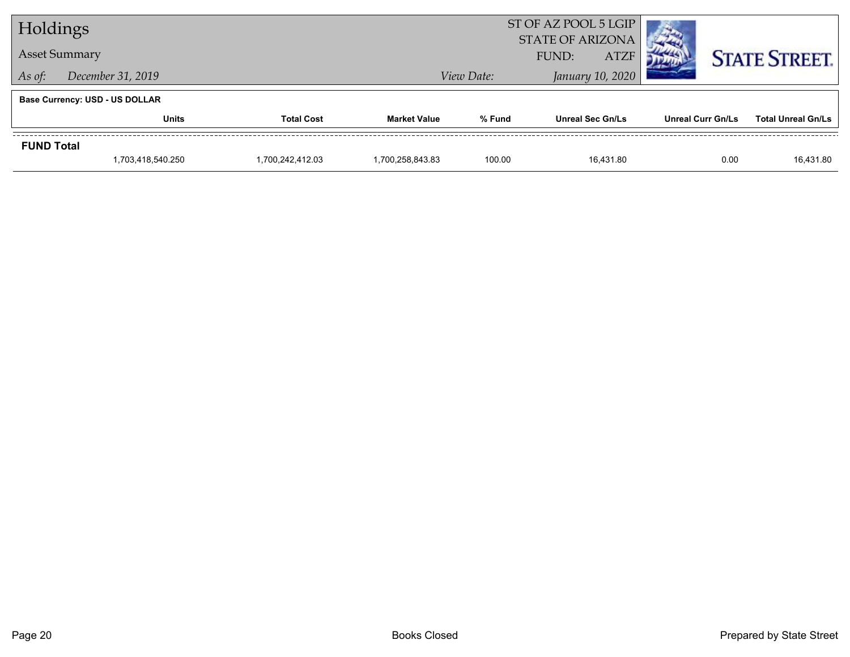| Holdings          |                                       |                   |                     |            | ST OF AZ POOL 5 LGIP<br><b>STATE OF ARIZONA</b> |                          |                           |  |
|-------------------|---------------------------------------|-------------------|---------------------|------------|-------------------------------------------------|--------------------------|---------------------------|--|
|                   | <b>Asset Summary</b>                  |                   |                     |            | <b>ATZF</b><br>FUND:                            |                          | <b>STATE STREET.</b>      |  |
| As of:            | December 31, 2019                     |                   |                     | View Date: | January 10, 2020                                |                          |                           |  |
|                   | <b>Base Currency: USD - US DOLLAR</b> |                   |                     |            |                                                 |                          |                           |  |
|                   | <b>Units</b>                          | <b>Total Cost</b> | <b>Market Value</b> | % Fund     | <b>Unreal Sec Gn/Ls</b>                         | <b>Unreal Curr Gn/Ls</b> | <b>Total Unreal Gn/Ls</b> |  |
| <b>FUND Total</b> |                                       |                   |                     |            |                                                 |                          |                           |  |
|                   | 1,703,418,540.250                     | 1,700,242,412.03  | 1.700.258.843.83    | 100.00     | 16.431.80                                       | 0.00                     | 16,431.80                 |  |